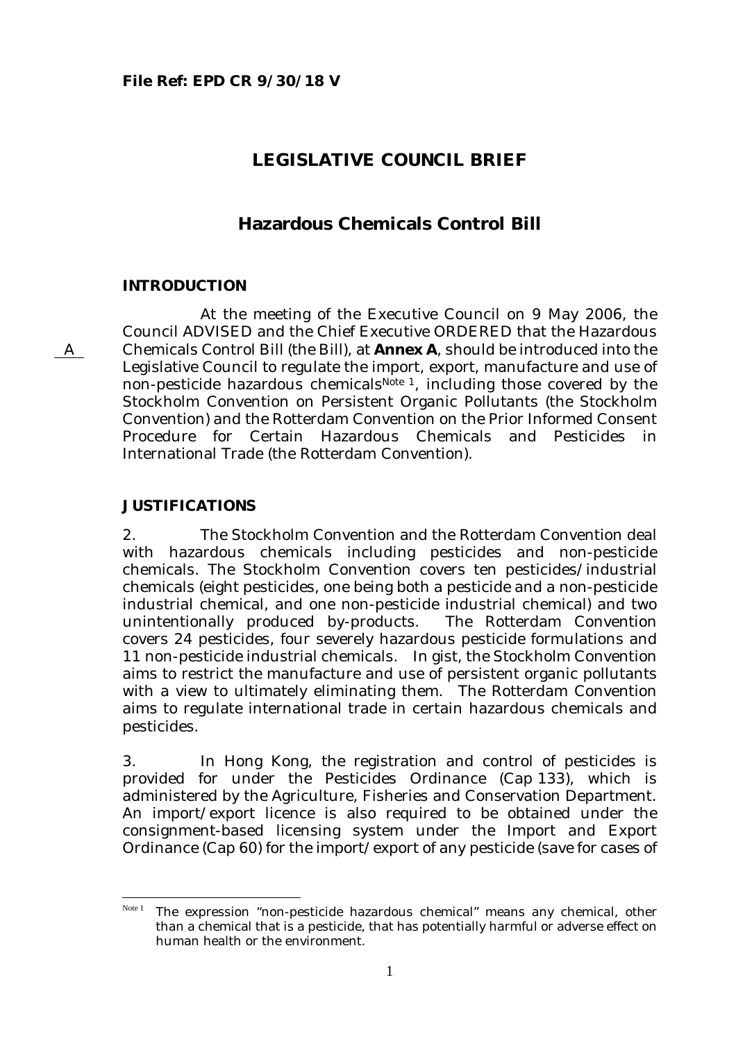# **LEGISLATIVE COUNCIL BRIEF**

# **Hazardous Chemicals Control Bill**

#### **INTRODUCTION**

At the meeting of the Executive Council on 9 May 2006, the Council ADVISED and the Chief Executive ORDERED that the Hazardous Chemicals Control Bill (the Bill), at **Annex A**, should be introduced into the Legislative Council to regulate the import, export, manufacture and use of non-pesticide hazardous chemicals<sup>Note 1</sup>, including those covered by the Stockholm Convention on Persistent Organic Pollutants (the Stockholm Convention) and the Rotterdam Convention on the Prior Informed Consent Procedure for Certain Hazardous Chemicals and Pesticides in International Trade (the Rotterdam Convention).

### **JUSTIFICATIONS**

2. The Stockholm Convention and the Rotterdam Convention deal with hazardous chemicals including pesticides and non-pesticide chemicals. The Stockholm Convention covers ten pesticides/industrial chemicals (eight pesticides, one being both a pesticide and a non-pesticide industrial chemical, and one non-pesticide industrial chemical) and two unintentionally produced by-products. The Rotterdam Convention covers 24 pesticides, four severely hazardous pesticide formulations and 11 non-pesticide industrial chemicals. In gist, the Stockholm Convention aims to restrict the manufacture and use of persistent organic pollutants with a view to ultimately eliminating them. The Rotterdam Convention aims to regulate international trade in certain hazardous chemicals and pesticides.

3. In Hong Kong, the registration and control of pesticides is provided for under the Pesticides Ordinance (Cap 133), which is administered by the Agriculture, Fisheries and Conservation Department. An import/export licence is also required to be obtained under the consignment-based licensing system under the Import and Export Ordinance (Cap 60) for the import/export of any pesticide (save for cases of

A

<span id="page-0-0"></span>Note 1 The expression "non-pesticide hazardous chemical" means any chemical, other than a chemical that is a pesticide, that has potentially harmful or adverse effect on human health or the environment.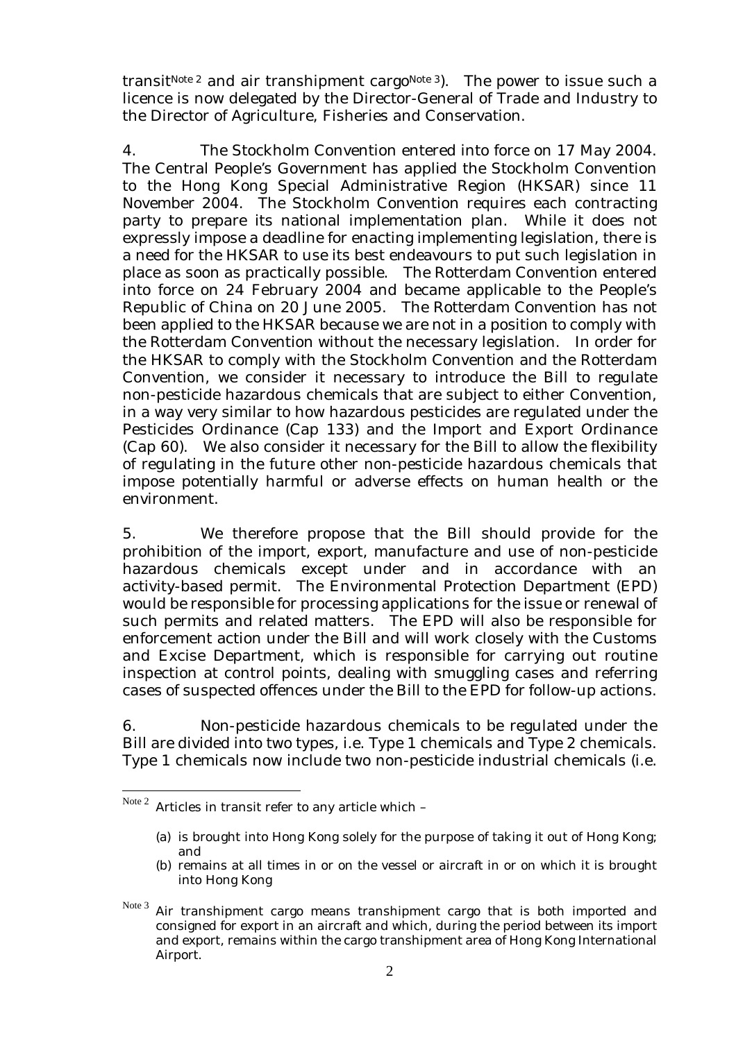transit<sup>Note 2</sup> and air transhipment cargo<sup>Note 3</sup>). The power to issue such a licence is now delegated by the Director-General of Trade and Industry to the Director of Agriculture, Fisheries and Conservation.

4. The Stockholm Convention entered into force on 17 May 2004. The Central People's Government has applied the Stockholm Convention to the Hong Kong Special Administrative Region (HKSAR) since 11 November 2004. The Stockholm Convention requires each contracting party to prepare its national implementation plan. While it does not expressly impose a deadline for enacting implementing legislation, there is a need for the HKSAR to use its best endeavours to put such legislation in place as soon as practically possible. The Rotterdam Convention entered into force on 24 February 2004 and became applicable to the People's Republic of China on 20 June 2005. The Rotterdam Convention has not been applied to the HKSAR because we are not in a position to comply with the Rotterdam Convention without the necessary legislation. In order for the HKSAR to comply with the Stockholm Convention and the Rotterdam Convention, we consider it necessary to introduce the Bill to regulate non-pesticide hazardous chemicals that are subject to either Convention, in a way very similar to how hazardous pesticides are regulated under the Pesticides Ordinance (Cap 133) and the Import and Export Ordinance (Cap 60). We also consider it necessary for the Bill to allow the flexibility of regulating in the future other non-pesticide hazardous chemicals that impose potentially harmful or adverse effects on human health or the environment.

5. We therefore propose that the Bill should provide for the prohibition of the import, export, manufacture and use of non-pesticide hazardous chemicals except under and in accordance with an activity-based permit. The Environmental Protection Department (EPD) would be responsible for processing applications for the issue or renewal of such permits and related matters. The EPD will also be responsible for enforcement action under the Bill and will work closely with the Customs and Excise Department, which is responsible for carrying out routine inspection at control points, dealing with smuggling cases and referring cases of suspected offences under the Bill to the EPD for follow-up actions.

6. Non-pesticide hazardous chemicals to be regulated under the Bill are divided into two types, i.e. Type 1 chemicals and Type 2 chemicals. Type 1 chemicals now include two non-pesticide industrial chemicals (i.e.

<span id="page-1-0"></span>Note 2 Articles in transit refer to any article which -

<sup>(</sup>a) is brought into Hong Kong solely for the purpose of taking it out of Hong Kong; and

<sup>(</sup>b) remains at all times in or on the vessel or aircraft in or on which it is brought into Hong Kong

<span id="page-1-1"></span>Note<sup>3</sup> Air transhipment cargo means transhipment cargo that is both imported and consigned for export in an aircraft and which, during the period between its import and export, remains within the cargo transhipment area of Hong Kong International Airport.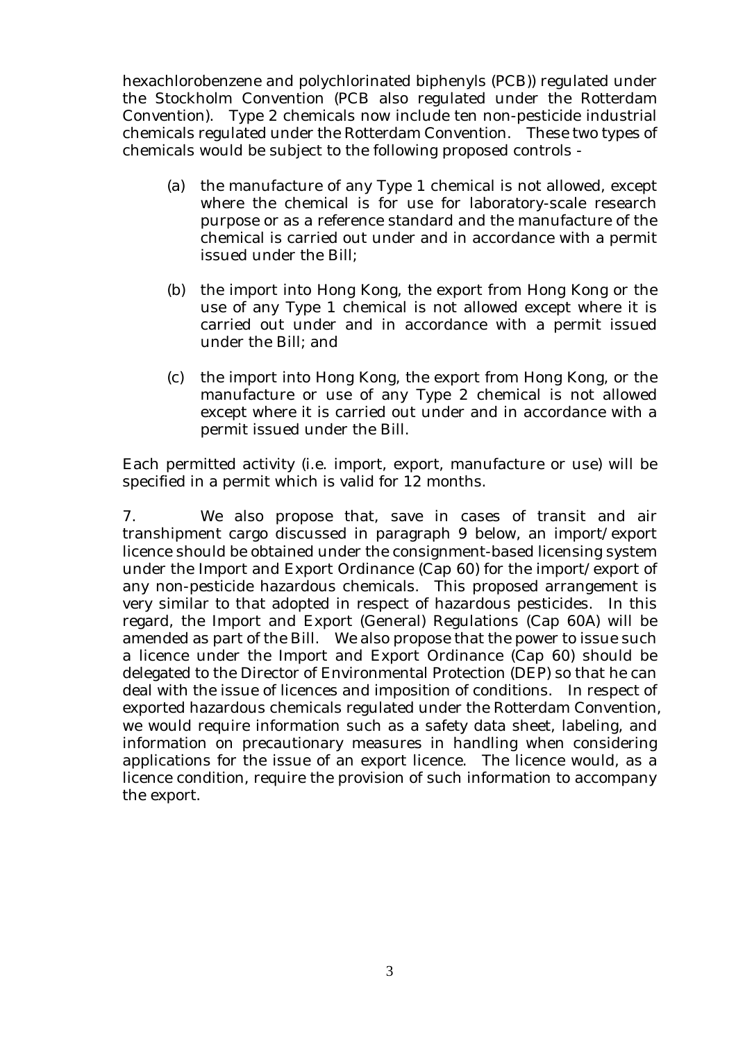hexachlorobenzene and polychlorinated biphenyls (PCB)) regulated under the Stockholm Convention (PCB also regulated under the Rotterdam Convention). Type 2 chemicals now include ten non-pesticide industrial chemicals regulated under the Rotterdam Convention. These two types of chemicals would be subject to the following proposed controls -

- (a) the manufacture of any Type 1 chemical is not allowed, except where the chemical is for use for laboratory-scale research purpose or as a reference standard and the manufacture of the chemical is carried out under and in accordance with a permit issued under the Bill;
- (b) the import into Hong Kong, the export from Hong Kong or the use of any Type 1 chemical is not allowed except where it is carried out under and in accordance with a permit issued under the Bill; and
- (c) the import into Hong Kong, the export from Hong Kong, or the manufacture or use of any Type 2 chemical is not allowed except where it is carried out under and in accordance with a permit issued under the Bill.

Each permitted activity (i.e. import, export, manufacture or use) will be specified in a permit which is valid for 12 months.

7. We also propose that, save in cases of transit and air transhipment cargo discussed in paragraph 9 below, an import/export licence should be obtained under the consignment-based licensing system under the Import and Export Ordinance (Cap 60) for the import/export of any non-pesticide hazardous chemicals. This proposed arrangement is very similar to that adopted in respect of hazardous pesticides. In this regard, the Import and Export (General) Regulations (Cap 60A) will be amended as part of the Bill. We also propose that the power to issue such a licence under the Import and Export Ordinance (Cap 60) should be delegated to the Director of Environmental Protection (DEP) so that he can deal with the issue of licences and imposition of conditions. In respect of exported hazardous chemicals regulated under the Rotterdam Convention, we would require information such as a safety data sheet, labeling, and information on precautionary measures in handling when considering applications for the issue of an export licence. The licence would, as a licence condition, require the provision of such information to accompany the export.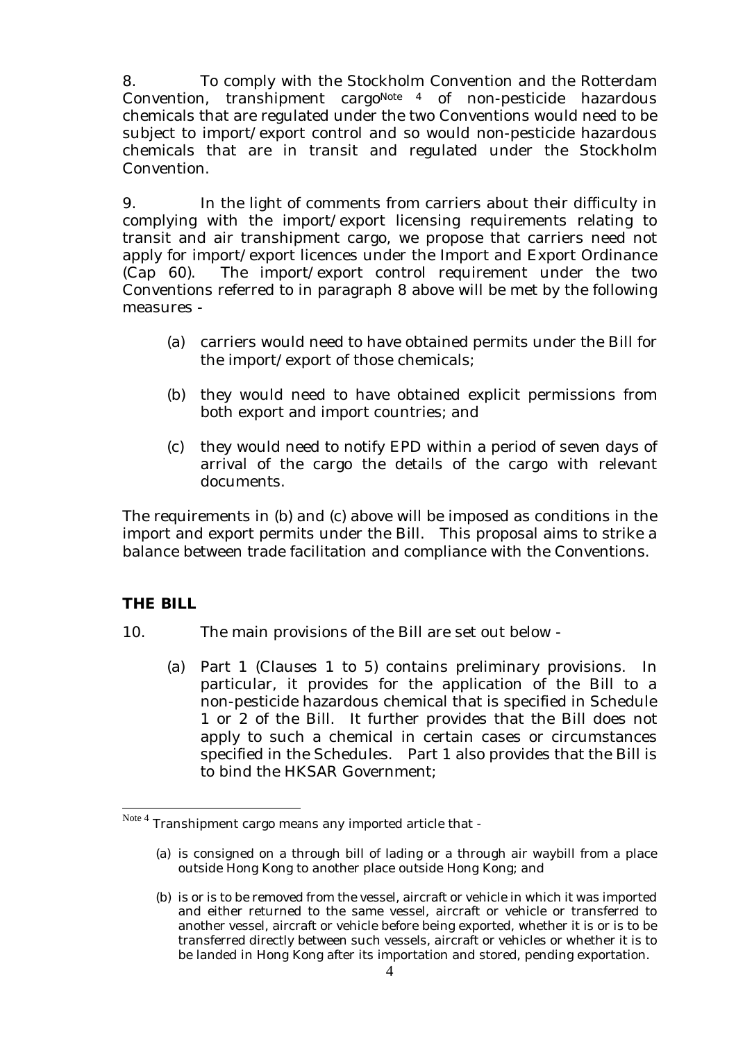8. To comply with the Stockholm Convention and the Rotterdam Convention, transhipment cargo<sup>Note 4</sup> of non-pesticide hazardous chemicals that are regulated under the two Conventions would need to be subject to import/export control and so would non-pesticide hazardous chemicals that are in transit and regulated under the Stockholm Convention.

9. In the light of comments from carriers about their difficulty in complying with the import/export licensing requirements relating to transit and air transhipment cargo, we propose that carriers need not apply for import/export licences under the Import and Export Ordinance (Cap 60). The import/export control requirement under the two Conventions referred to in paragraph 8 above will be met by the following measures -

- (a) carriers would need to have obtained permits under the Bill for the import/export of those chemicals;
- (b) they would need to have obtained explicit permissions from both export and import countries; and
- (c) they would need to notify EPD within a period of seven days of arrival of the cargo the details of the cargo with relevant documents.

The requirements in (b) and (c) above will be imposed as conditions in the import and export permits under the Bill. This proposal aims to strike a balance between trade facilitation and compliance with the Conventions.

# **THE BILL**

 $\overline{a}$ 

- 10. The main provisions of the Bill are set out below
	- (a) Part 1 (Clauses 1 to 5) contains preliminary provisions. In particular, it provides for the application of the Bill to a non-pesticide hazardous chemical that is specified in Schedule 1 or 2 of the Bill. It further provides that the Bill does not apply to such a chemical in certain cases or circumstances specified in the Schedules. Part 1 also provides that the Bill is to bind the HKSAR Government;

<span id="page-3-0"></span> $^{Note 4}$  Transhipment cargo means any imported article that -

<sup>(</sup>a) is consigned on a through bill of lading or a through air waybill from a place outside Hong Kong to another place outside Hong Kong; and

<sup>(</sup>b) is or is to be removed from the vessel, aircraft or vehicle in which it was imported and either returned to the same vessel, aircraft or vehicle or transferred to another vessel, aircraft or vehicle before being exported, whether it is or is to be transferred directly between such vessels, aircraft or vehicles or whether it is to be landed in Hong Kong after its importation and stored, pending exportation.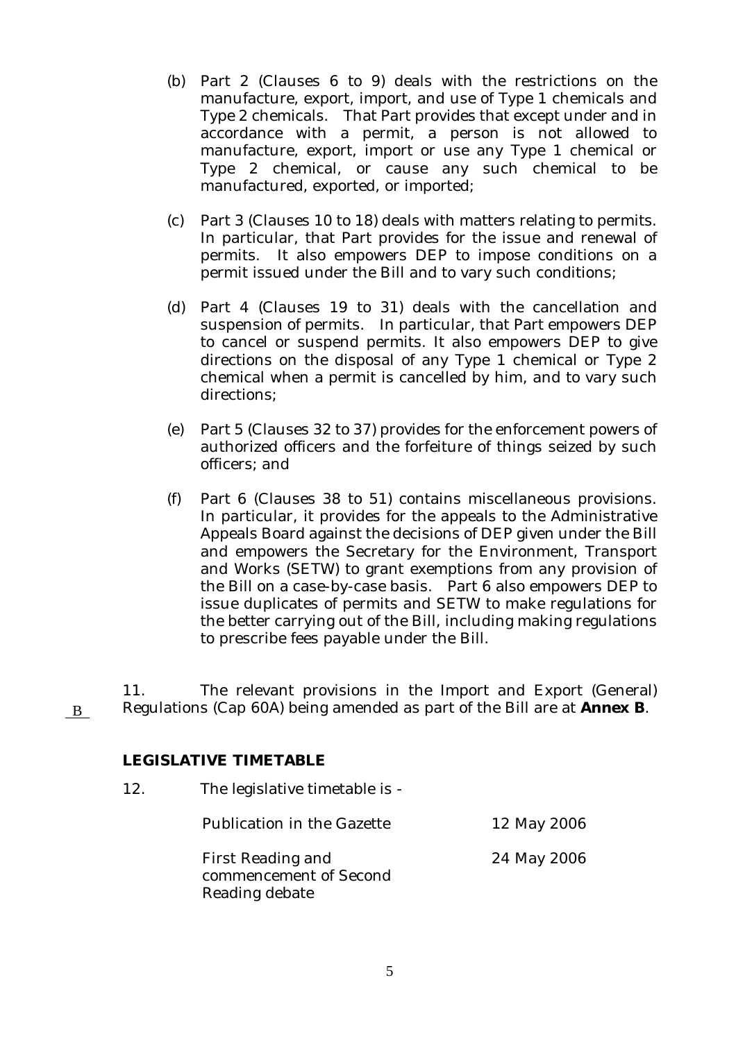- (b) Part 2 (Clauses 6 to 9) deals with the restrictions on the manufacture, export, import, and use of Type 1 chemicals and Type 2 chemicals. That Part provides that except under and in accordance with a permit, a person is not allowed to manufacture, export, import or use any Type 1 chemical or Type 2 chemical, or cause any such chemical to be manufactured, exported, or imported;
- (c) Part 3 (Clauses 10 to 18) deals with matters relating to permits. In particular, that Part provides for the issue and renewal of permits. It also empowers DEP to impose conditions on a permit issued under the Bill and to vary such conditions;
- (d) Part 4 (Clauses 19 to 31) deals with the cancellation and suspension of permits. In particular, that Part empowers DEP to cancel or suspend permits. It also empowers DEP to give directions on the disposal of any Type 1 chemical or Type 2 chemical when a permit is cancelled by him, and to vary such directions;
- (e) Part 5 (Clauses 32 to 37) provides for the enforcement powers of authorized officers and the forfeiture of things seized by such officers; and
- (f) Part 6 (Clauses 38 to 51) contains miscellaneous provisions. In particular, it provides for the appeals to the Administrative Appeals Board against the decisions of DEP given under the Bill and empowers the Secretary for the Environment, Transport and Works (SETW) to grant exemptions from any provision of the Bill on a case-by-case basis. Part 6 also empowers DEP to issue duplicates of permits and SETW to make regulations for the better carrying out of the Bill, including making regulations to prescribe fees payable under the Bill.

11. The relevant provisions in the Import and Export (General) Regulations (Cap 60A) being amended as part of the Bill are at **Annex B**.

#### **LEGISLATIVE TIMETABLE**

12. The legislative timetable is -

Publication in the Gazette 12 May 2006

24 May 2006

First Reading and commencement of Second Reading debate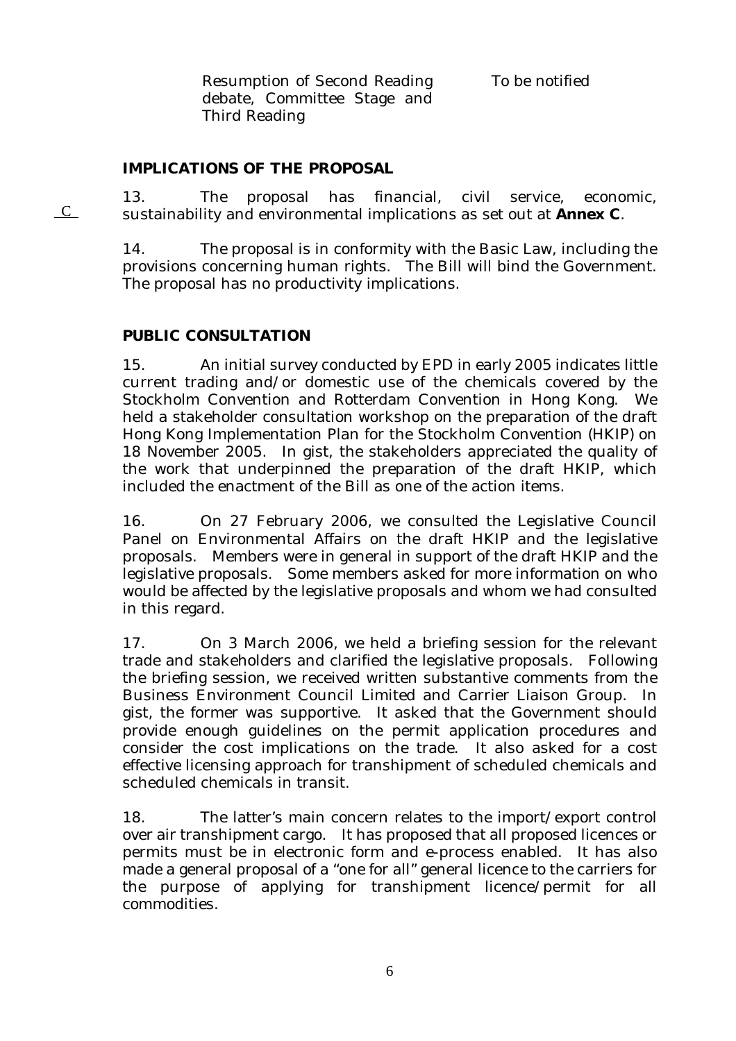Resumption of Second Reading debate, Committee Stage and Third Reading

To be notified

# **IMPLICATIONS OF THE PROPOSAL**

13. The proposal has financial, civil service, economic,  $\overline{C}$  sustainability and environmental implications as set out at **Annex C**.

> 14. The proposal is in conformity with the Basic Law, including the provisions concerning human rights. The Bill will bind the Government. The proposal has no productivity implications.

# **PUBLIC CONSULTATION**

15. An initial survey conducted by EPD in early 2005 indicates little current trading and/or domestic use of the chemicals covered by the Stockholm Convention and Rotterdam Convention in Hong Kong. We held a stakeholder consultation workshop on the preparation of the draft Hong Kong Implementation Plan for the Stockholm Convention (HKIP) on 18 November 2005. In gist, the stakeholders appreciated the quality of the work that underpinned the preparation of the draft HKIP, which included the enactment of the Bill as one of the action items.

16. On 27 February 2006, we consulted the Legislative Council Panel on Environmental Affairs on the draft HKIP and the legislative proposals. Members were in general in support of the draft HKIP and the legislative proposals. Some members asked for more information on who would be affected by the legislative proposals and whom we had consulted in this regard.

17. On 3 March 2006, we held a briefing session for the relevant trade and stakeholders and clarified the legislative proposals. Following the briefing session, we received written substantive comments from the Business Environment Council Limited and Carrier Liaison Group. In gist, the former was supportive. It asked that the Government should provide enough guidelines on the permit application procedures and consider the cost implications on the trade. It also asked for a cost effective licensing approach for transhipment of scheduled chemicals and scheduled chemicals in transit.

18. The latter's main concern relates to the import/export control over air transhipment cargo. It has proposed that all proposed licences or permits must be in electronic form and e-process enabled. It has also made a general proposal of a "one for all" general licence to the carriers for the purpose of applying for transhipment licence/permit for all commodities.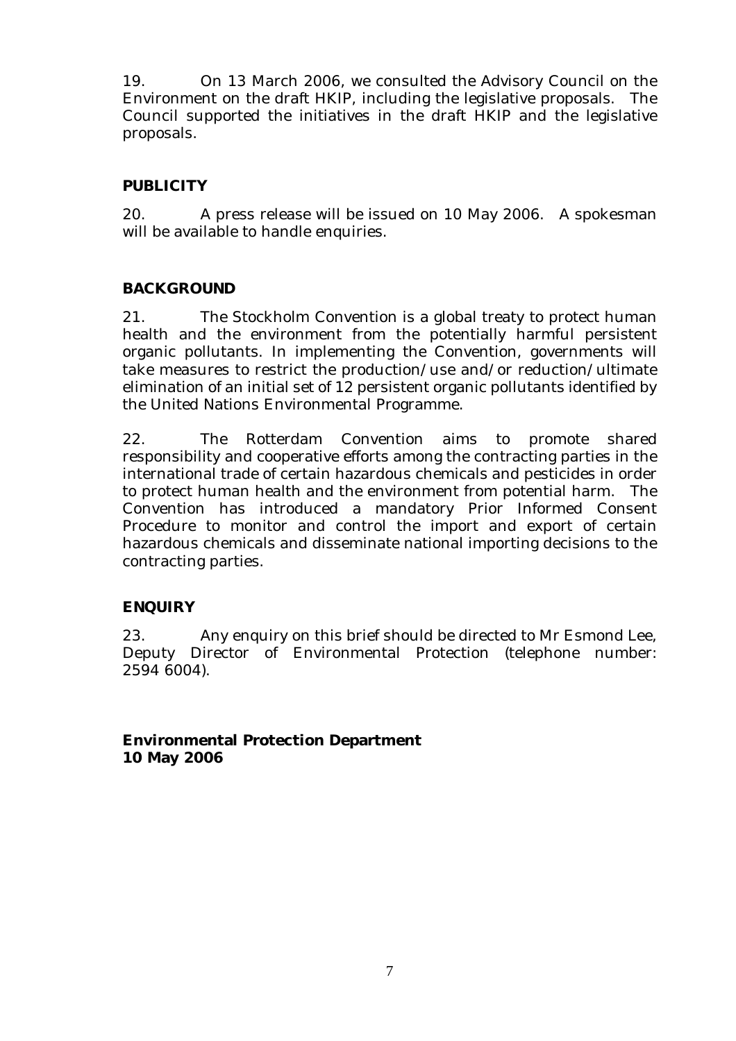19. On 13 March 2006, we consulted the Advisory Council on the Environment on the draft HKIP, including the legislative proposals. The Council supported the initiatives in the draft HKIP and the legislative proposals.

# **PUBLICITY**

20. A press release will be issued on 10 May 2006. A spokesman will be available to handle enquiries.

# **BACKGROUND**

21. The Stockholm Convention is a global treaty to protect human health and the environment from the potentially harmful persistent organic pollutants. In implementing the Convention, governments will take measures to restrict the production/use and/or reduction/ultimate elimination of an initial set of  $12$  persistent organic pollutants identified by the United Nations Environmental Programme.

22. The Rotterdam Convention aims to promote shared responsibility and cooperative efforts among the contracting parties in the international trade of certain hazardous chemicals and pesticides in order to protect human health and the environment from potential harm. The Convention has introduced a mandatory Prior Informed Consent Procedure to monitor and control the import and export of certain hazardous chemicals and disseminate national importing decisions to the contracting parties.

# **ENQUIRY**

23. Any enquiry on this brief should be directed to Mr Esmond Lee, Deputy Director of Environmental Protection (telephone number: 2594 6004).

**Environmental Protection Department 10 May 2006**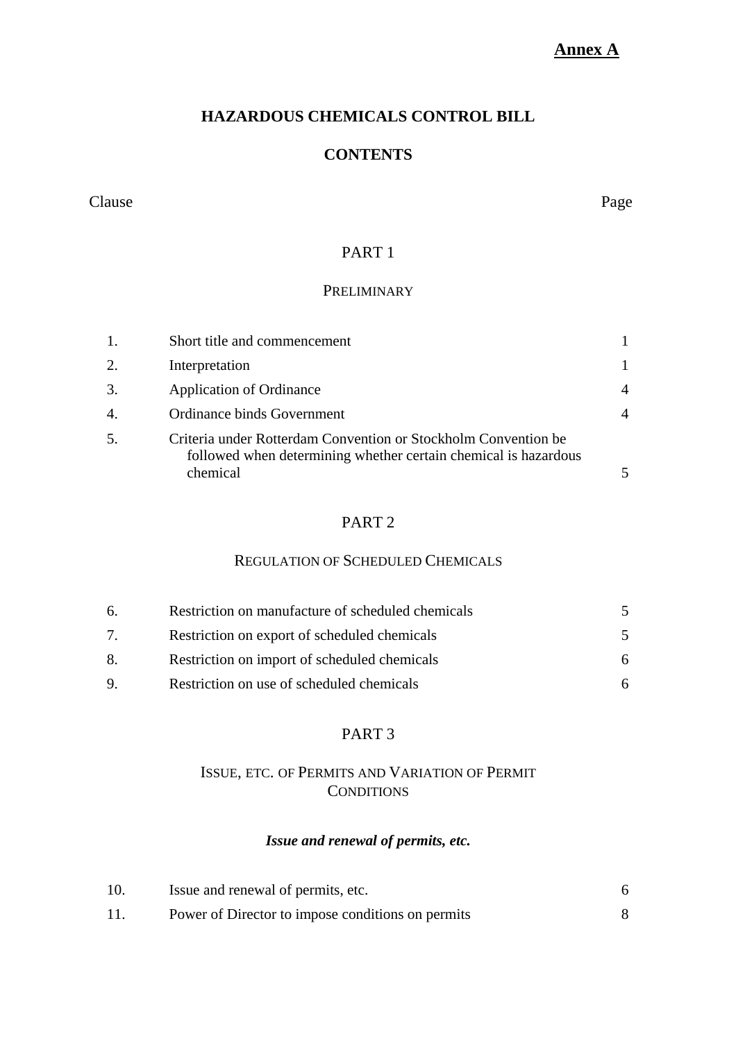# **Annex A**

# **HAZARDOUS CHEMICALS CONTROL BILL**

### **CONTENTS**

#### Clause Page

# PART 1

# **PRELIMINARY**

| 1. | Short title and commencement                                                                                                                  |   |
|----|-----------------------------------------------------------------------------------------------------------------------------------------------|---|
| 2. | Interpretation                                                                                                                                |   |
| 3. | <b>Application of Ordinance</b>                                                                                                               | 4 |
| 4. | Ordinance binds Government                                                                                                                    | 4 |
| 5. | Criteria under Rotterdam Convention or Stockholm Convention be<br>followed when determining whether certain chemical is hazardous<br>chemical |   |

# PART 2

### REGULATION OF SCHEDULED CHEMICALS

| 6.                             | Restriction on manufacture of scheduled chemicals |    |
|--------------------------------|---------------------------------------------------|----|
| $7_{\scriptscriptstyle{\sim}}$ | Restriction on export of scheduled chemicals      |    |
| 8.                             | Restriction on import of scheduled chemicals      | 6. |
| $\mathbf Q$                    | Restriction on use of scheduled chemicals         | 6. |

# PART 3

# ISSUE, ETC. OF PERMITS AND VARIATION OF PERMIT **CONDITIONS**

# *Issue and renewal of permits, etc.*

| 10. | Issue and renewal of permits, etc.                |  |
|-----|---------------------------------------------------|--|
|     | Power of Director to impose conditions on permits |  |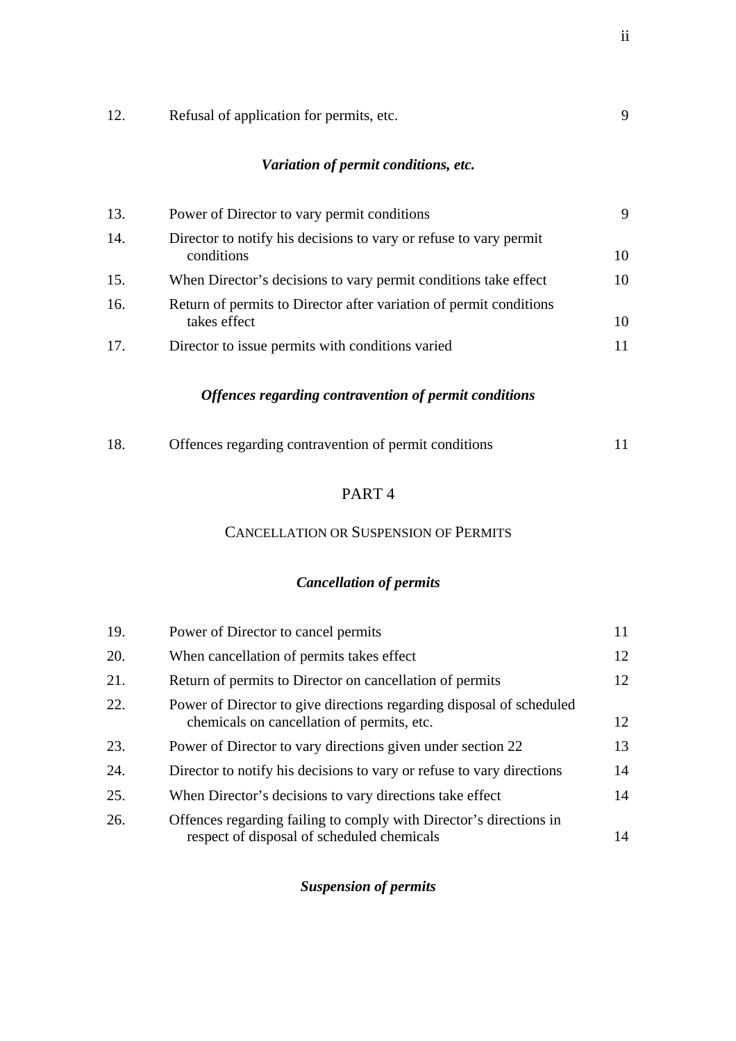| Variation of permit conditions, etc. |                                                                                    |    |
|--------------------------------------|------------------------------------------------------------------------------------|----|
| 13.                                  | Power of Director to vary permit conditions                                        | 9  |
| 14.                                  | Director to notify his decisions to vary or refuse to vary permit<br>conditions    | 10 |
| 15.                                  | When Director's decisions to vary permit conditions take effect                    | 10 |
| 16.                                  | Return of permits to Director after variation of permit conditions<br>takes effect | 10 |
| 17.                                  | Director to issue permits with conditions varied                                   | 11 |
|                                      |                                                                                    |    |

12. Refusal of application for permits, etc. 9

# *Offences regarding contravention of permit conditions*

### PART 4

#### CANCELLATION OR SUSPENSION OF PERMITS

# *Cancellation of permits*

| 19. | Power of Director to cancel permits                                                                                | 11 |
|-----|--------------------------------------------------------------------------------------------------------------------|----|
| 20. | When cancellation of permits takes effect                                                                          | 12 |
| 21. | Return of permits to Director on cancellation of permits                                                           | 12 |
| 22. | Power of Director to give directions regarding disposal of scheduled<br>chemicals on cancellation of permits, etc. | 12 |
| 23. | Power of Director to vary directions given under section 22                                                        | 13 |
| 24. | Director to notify his decisions to vary or refuse to vary directions                                              | 14 |
| 25. | When Director's decisions to vary directions take effect                                                           | 14 |
| 26. | Offences regarding failing to comply with Director's directions in<br>respect of disposal of scheduled chemicals   | 14 |

# *Suspension of permits*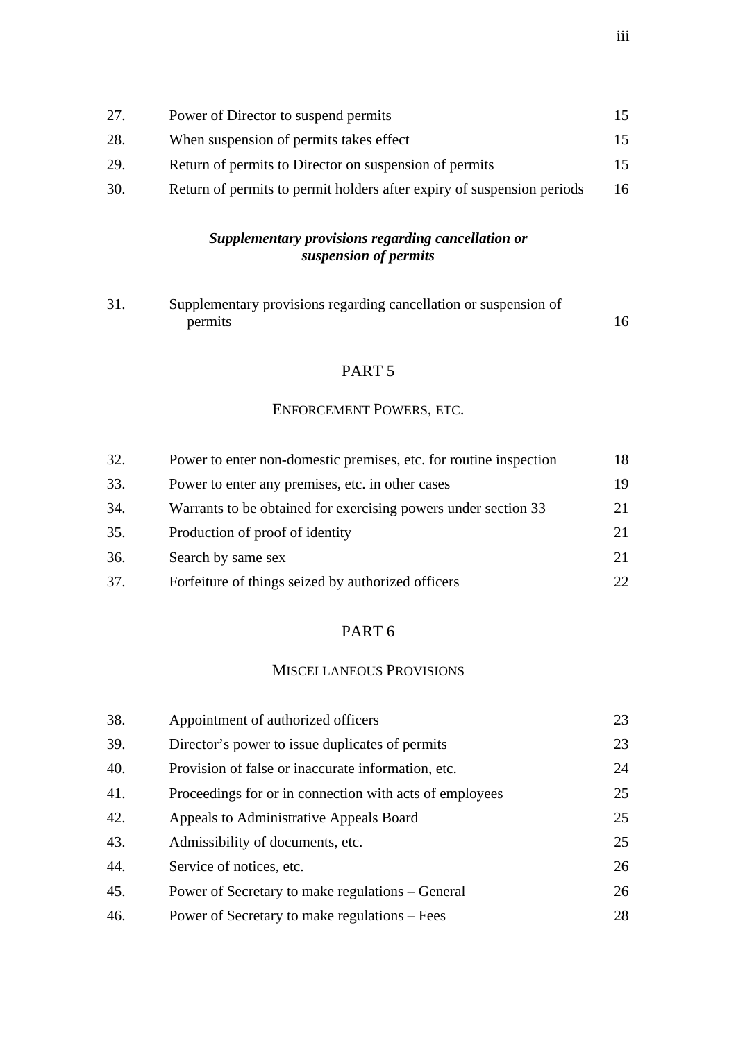# *Supplementary provisions regarding cancellation or suspension of permits*

| 31 | Supplementary provisions regarding cancellation or suspension of |  |
|----|------------------------------------------------------------------|--|
|    | permits                                                          |  |

# PART 5

#### ENFORCEMENT POWERS, ETC.

| 32. | Power to enter non-domestic premises, etc. for routine inspection | 18  |
|-----|-------------------------------------------------------------------|-----|
| 33. | Power to enter any premises, etc. in other cases                  | 19  |
| 34. | Warrants to be obtained for exercising powers under section 33    | 21  |
| 35. | Production of proof of identity                                   | 21  |
| 36. | Search by same sex                                                | 21  |
| 37. | Forfeiture of things seized by authorized officers                | 22. |

# PART 6

# MISCELLANEOUS PROVISIONS

| 38. | Appointment of authorized officers                      | 23 |
|-----|---------------------------------------------------------|----|
| 39. | Director's power to issue duplicates of permits         | 23 |
| 40. | Provision of false or inaccurate information, etc.      | 24 |
| 41. | Proceedings for or in connection with acts of employees | 25 |
| 42. | Appeals to Administrative Appeals Board                 | 25 |
| 43. | Admissibility of documents, etc.                        | 25 |
| 44. | Service of notices, etc.                                | 26 |
| 45. | Power of Secretary to make regulations – General        | 26 |
| 46. | Power of Secretary to make regulations – Fees           | 28 |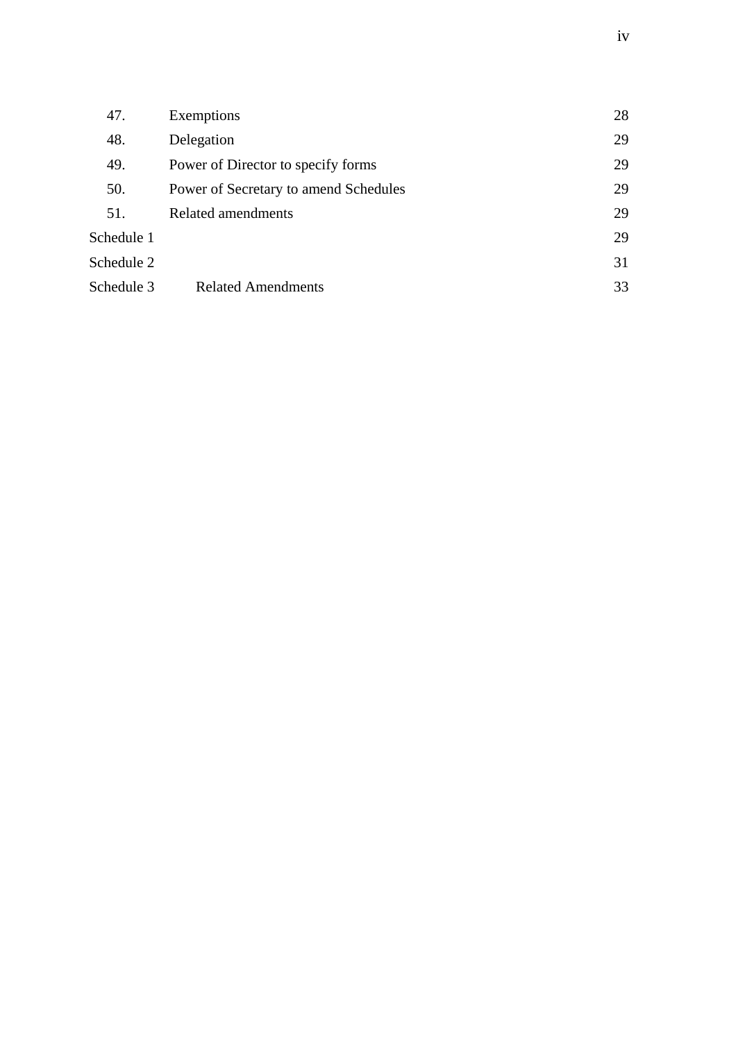| 47.        | Exemptions                            | 28 |
|------------|---------------------------------------|----|
| 48.        | Delegation                            | 29 |
| 49.        | Power of Director to specify forms    | 29 |
| 50.        | Power of Secretary to amend Schedules | 29 |
| 51.        | Related amendments                    | 29 |
| Schedule 1 |                                       | 29 |
| Schedule 2 |                                       | 31 |
| Schedule 3 | <b>Related Amendments</b>             | 33 |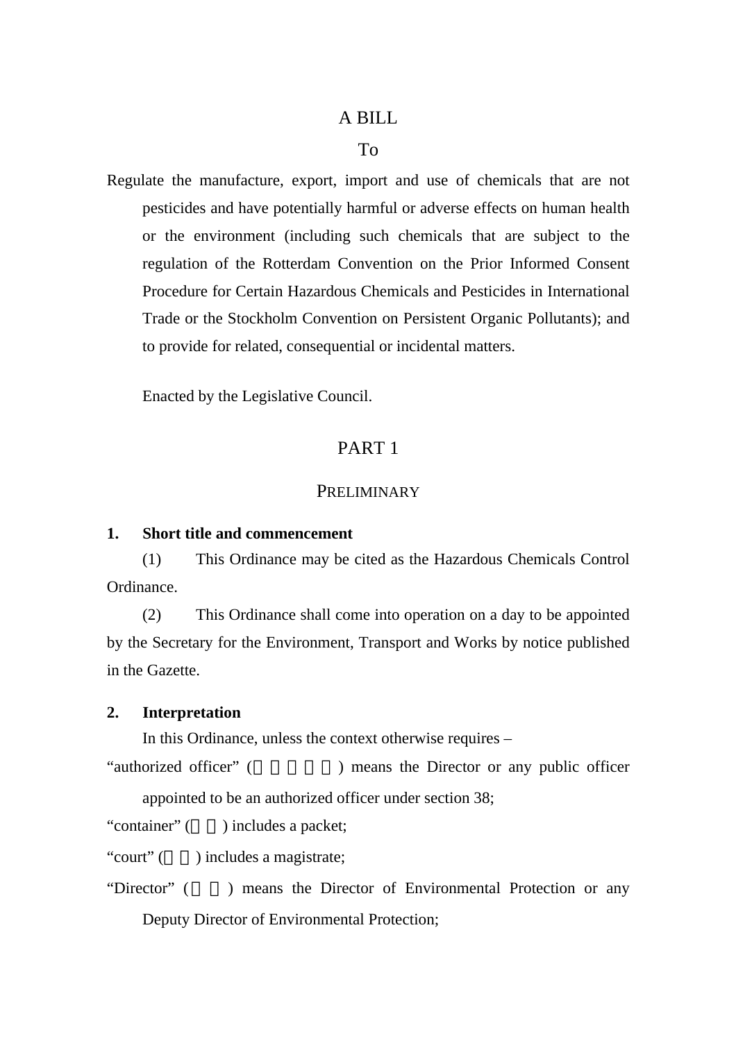# A BILL

#### To

Regulate the manufacture, export, import and use of chemicals that are not pesticides and have potentially harmful or adverse effects on human health or the environment (including such chemicals that are subject to the regulation of the Rotterdam Convention on the Prior Informed Consent Procedure for Certain Hazardous Chemicals and Pesticides in International Trade or the Stockholm Convention on Persistent Organic Pollutants); and to provide for related, consequential or incidental matters.

Enacted by the Legislative Council.

# PART 1

## **PRELIMINARY**

#### **1. Short title and commencement**

(1) This Ordinance may be cited as the Hazardous Chemicals Control Ordinance.

(2) This Ordinance shall come into operation on a day to be appointed by the Secretary for the Environment, Transport and Works by notice published in the Gazette.

# **2. Interpretation**

In this Ordinance, unless the context otherwise requires –

"authorized officer" (
) means the Director or any public officer appointed to be an authorized officer under section 38;

"container" () includes a packet;

"court" ( ) includes a magistrate;

"Director" () means the Director of Environmental Protection or any Deputy Director of Environmental Protection;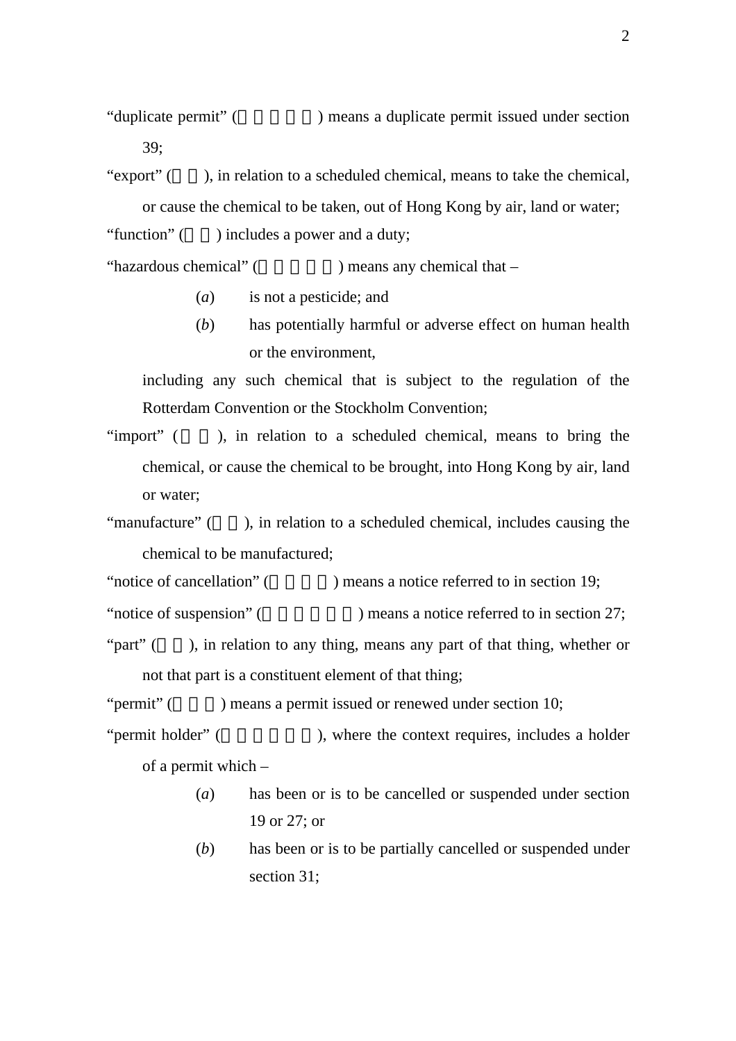"duplicate permit" (  $\blacksquare$  ) means a duplicate permit issued under section 39;

"export"  $($ ), in relation to a scheduled chemical, means to take the chemical, or cause the chemical to be taken, out of Hong Kong by air, land or water;

"function" () includes a power and a duty;

"hazardous chemical"  $($  ) means any chemical that –

- (*a*) is not a pesticide; and
- (*b*) has potentially harmful or adverse effect on human health or the environment,

including any such chemical that is subject to the regulation of the Rotterdam Convention or the Stockholm Convention;

- "import" (a.g.), in relation to a scheduled chemical, means to bring the chemical, or cause the chemical to be brought, into Hong Kong by air, land or water;
- "manufacture" (), in relation to a scheduled chemical, includes causing the chemical to be manufactured;

"notice of cancellation" (notice referred to in section 19;

"notice of suspension" (  $\blacksquare$ ) means a notice referred to in section 27;

"part"  $($ , in relation to any thing, means any part of that thing, whether or not that part is a constituent element of that thing;

" $permit"$  ( $\qquad$ ) means a permit issued or renewed under section 10;

- "permit holder" (  $\blacksquare$ ), where the context requires, includes a holder of a permit which –
	- (*a*) has been or is to be cancelled or suspended under section 19 or 27; or
	- (*b*) has been or is to be partially cancelled or suspended under section 31;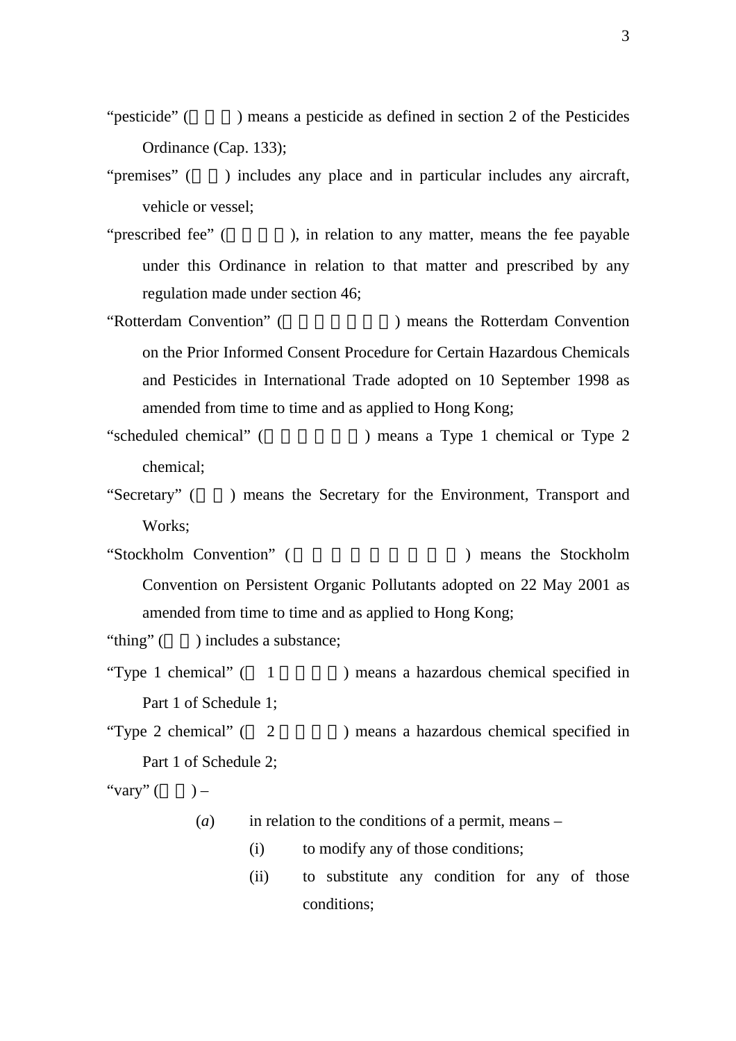"pesticide" () means a pesticide as defined in section 2 of the Pesticides Ordinance (Cap. 133);

- "premises" () includes any place and in particular includes any aircraft, vehicle or vessel;
- "prescribed fee" ( $\qquad \qquad$ ), in relation to any matter, means the fee payable under this Ordinance in relation to that matter and prescribed by any regulation made under section 46;
- "Rotterdam Convention" ( The Protection and Rotterdam Convention on the Prior Informed Consent Procedure for Certain Hazardous Chemicals and Pesticides in International Trade adopted on 10 September 1998 as amended from time to time and as applied to Hong Kong;
- "scheduled chemical" () means a Type 1 chemical or Type 2 chemical;
- "Secretary" () means the Secretary for the Environment, Transport and Works;
- "Stockholm Convention" ( The Stockholm Stockholm ( Stockholm ) means the Stockholm Convention on Persistent Organic Pollutants adopted on 22 May 2001 as amended from time to time and as applied to Hong Kong;

"thing" () includes a substance;

- "Type 1 chemical"  $(1$   $)$  means a hazardous chemical specified in Part 1 of Schedule 1;
- "Type 2 chemical"  $(2)$  ) means a hazardous chemical specified in Part 1 of Schedule 2;

"vary"  $($ 

- (*a*) in relation to the conditions of a permit, means
	- (i) to modify any of those conditions;
	- (ii) to substitute any condition for any of those conditions;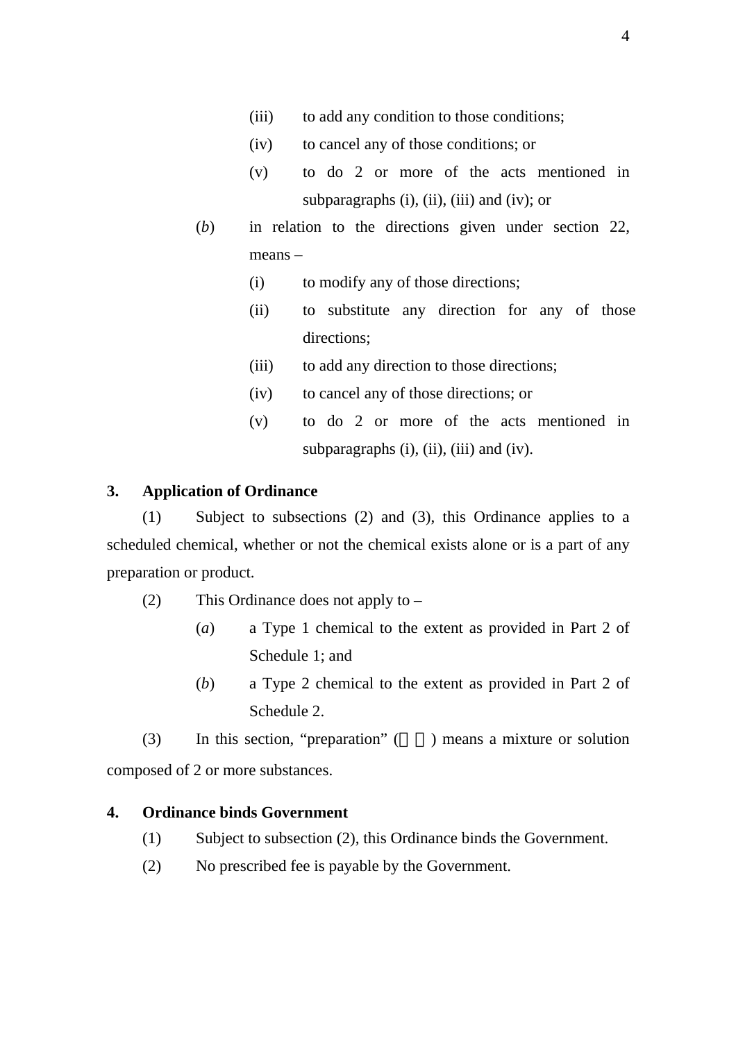- (iii) to add any condition to those conditions;
- (iv) to cancel any of those conditions; or
- (v) to do 2 or more of the acts mentioned in subparagraphs  $(i)$ ,  $(ii)$ ,  $(iii)$  and  $(iv)$ ; or
- (*b*) in relation to the directions given under section 22, means –
	- (i) to modify any of those directions;
	- (ii) to substitute any direction for any of those directions;
	- (iii) to add any direction to those directions;
	- (iv) to cancel any of those directions; or
	- (v) to do 2 or more of the acts mentioned in subparagraphs  $(i)$ ,  $(ii)$ ,  $(iii)$  and  $(iv)$ .

#### **3. Application of Ordinance**

(1) Subject to subsections (2) and (3), this Ordinance applies to a scheduled chemical, whether or not the chemical exists alone or is a part of any preparation or product.

- (2) This Ordinance does not apply to
	- (*a*) a Type 1 chemical to the extent as provided in Part 2 of Schedule 1; and
	- (*b*) a Type 2 chemical to the extent as provided in Part 2 of Schedule 2.

(3) In this section, "preparation"  $($ ) means a mixture or solution composed of 2 or more substances.

### **4. Ordinance binds Government**

- (1) Subject to subsection (2), this Ordinance binds the Government.
- (2) No prescribed fee is payable by the Government.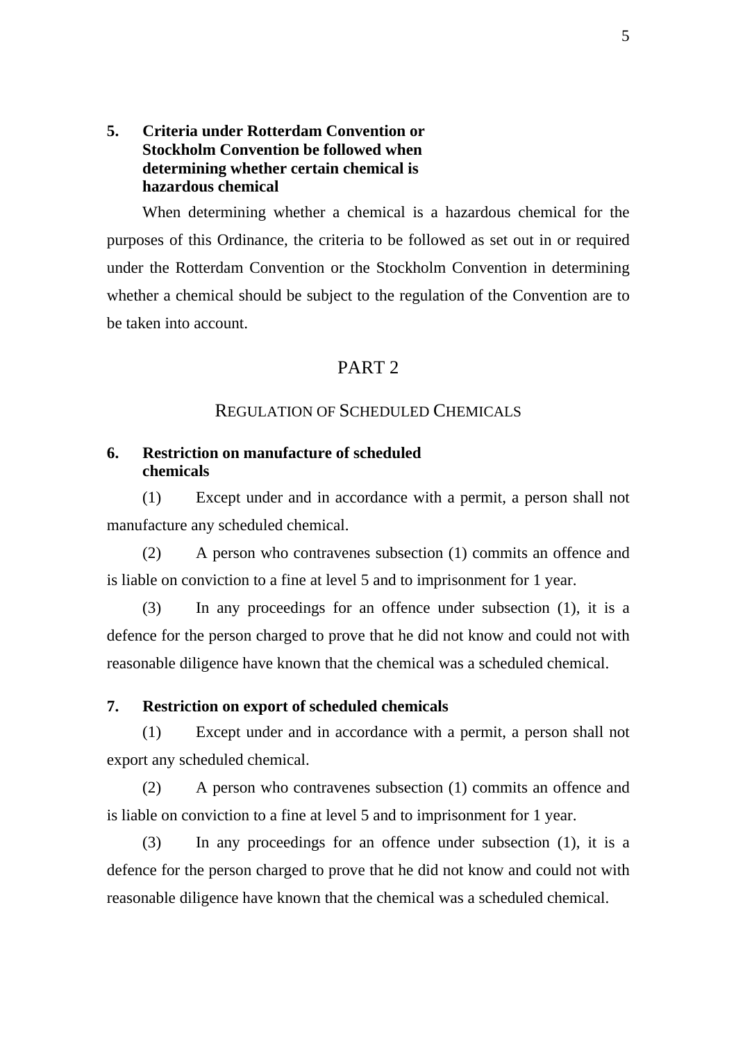# **5. Criteria under Rotterdam Convention or Stockholm Convention be followed when determining whether certain chemical is hazardous chemical**

When determining whether a chemical is a hazardous chemical for the purposes of this Ordinance, the criteria to be followed as set out in or required under the Rotterdam Convention or the Stockholm Convention in determining whether a chemical should be subject to the regulation of the Convention are to be taken into account.

# PART 2

### REGULATION OF SCHEDULED CHEMICALS

### **6. Restriction on manufacture of scheduled chemicals**

(1) Except under and in accordance with a permit, a person shall not manufacture any scheduled chemical.

(2) A person who contravenes subsection (1) commits an offence and is liable on conviction to a fine at level 5 and to imprisonment for 1 year.

(3) In any proceedings for an offence under subsection (1), it is a defence for the person charged to prove that he did not know and could not with reasonable diligence have known that the chemical was a scheduled chemical.

#### **7. Restriction on export of scheduled chemicals**

(1) Except under and in accordance with a permit, a person shall not export any scheduled chemical.

(2) A person who contravenes subsection (1) commits an offence and is liable on conviction to a fine at level 5 and to imprisonment for 1 year.

(3) In any proceedings for an offence under subsection (1), it is a defence for the person charged to prove that he did not know and could not with reasonable diligence have known that the chemical was a scheduled chemical.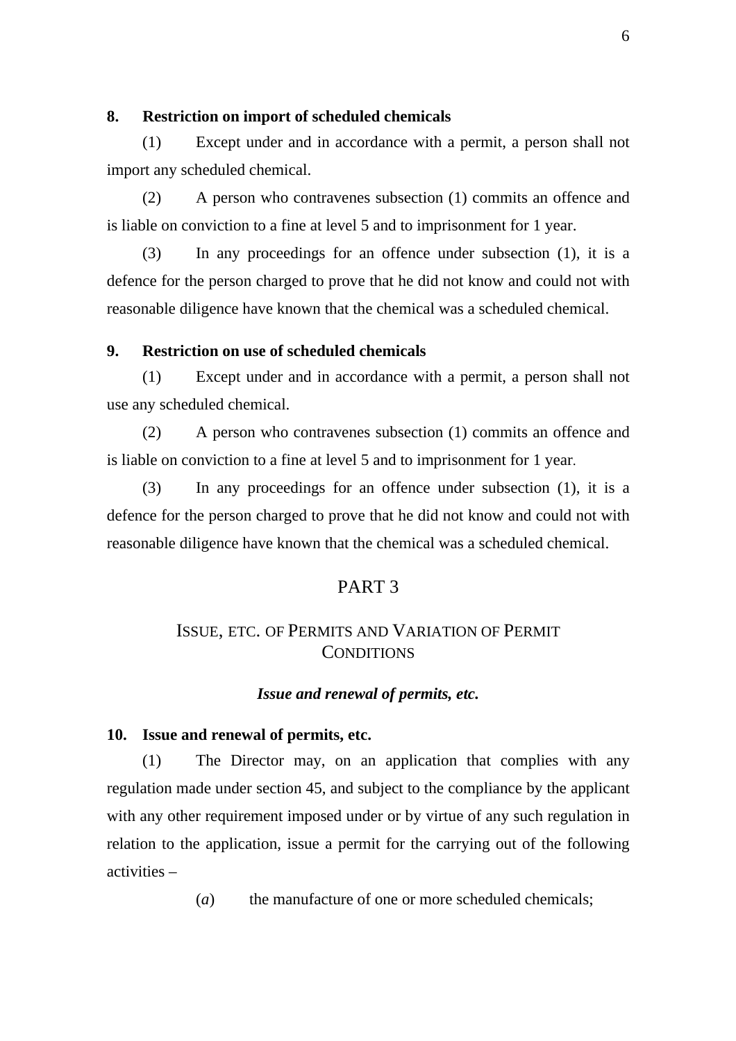# **8. Restriction on import of scheduled chemicals**

(1) Except under and in accordance with a permit, a person shall not import any scheduled chemical.

(2) A person who contravenes subsection (1) commits an offence and is liable on conviction to a fine at level 5 and to imprisonment for 1 year.

(3) In any proceedings for an offence under subsection (1), it is a defence for the person charged to prove that he did not know and could not with reasonable diligence have known that the chemical was a scheduled chemical.

### **9. Restriction on use of scheduled chemicals**

(1) Except under and in accordance with a permit, a person shall not use any scheduled chemical.

(2) A person who contravenes subsection (1) commits an offence and is liable on conviction to a fine at level 5 and to imprisonment for 1 year.

(3) In any proceedings for an offence under subsection (1), it is a defence for the person charged to prove that he did not know and could not with reasonable diligence have known that the chemical was a scheduled chemical.

### PART 3

# ISSUE, ETC. OF PERMITS AND VARIATION OF PERMIT **CONDITIONS**

#### *Issue and renewal of permits, etc.*

#### **10. Issue and renewal of permits, etc.**

(1) The Director may, on an application that complies with any regulation made under section 45, and subject to the compliance by the applicant with any other requirement imposed under or by virtue of any such regulation in relation to the application, issue a permit for the carrying out of the following activities –

(*a*) the manufacture of one or more scheduled chemicals;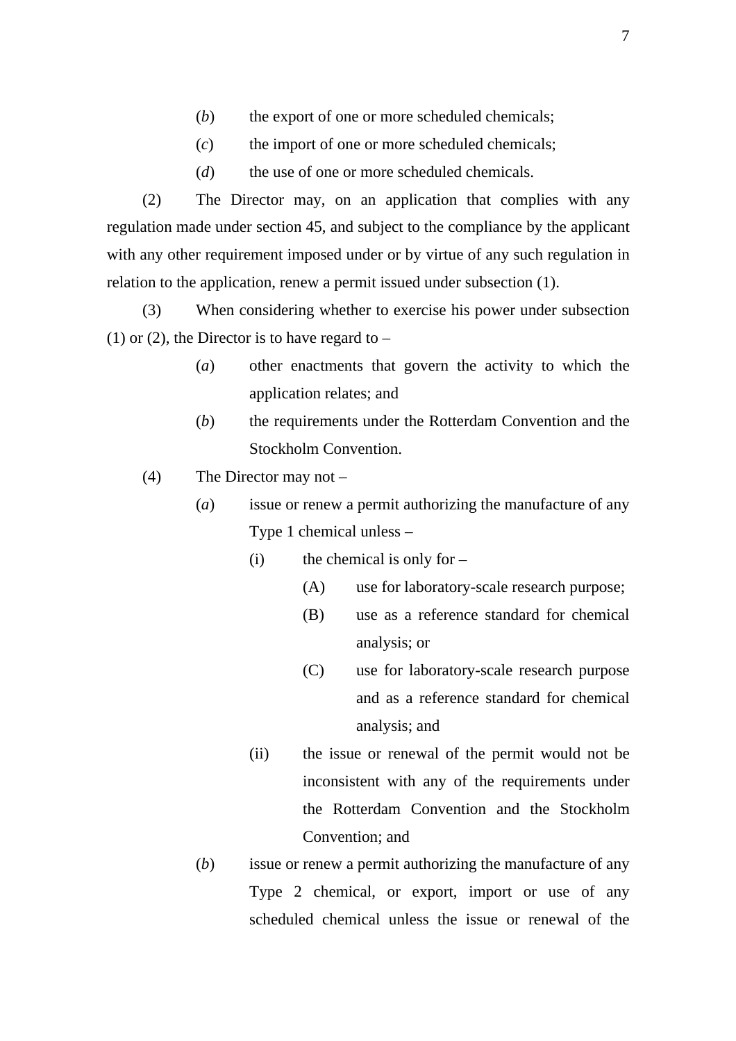- (*b*) the export of one or more scheduled chemicals;
- (*c*) the import of one or more scheduled chemicals;
- (*d*) the use of one or more scheduled chemicals.

(2) The Director may, on an application that complies with any regulation made under section 45, and subject to the compliance by the applicant with any other requirement imposed under or by virtue of any such regulation in relation to the application, renew a permit issued under subsection (1).

(3) When considering whether to exercise his power under subsection (1) or (2), the Director is to have regard to  $-$ 

- (*a*) other enactments that govern the activity to which the application relates; and
- (*b*) the requirements under the Rotterdam Convention and the Stockholm Convention.
- (4) The Director may not
	- (*a*) issue or renew a permit authorizing the manufacture of any Type 1 chemical unless –
		- (i) the chemical is only for  $-$ 
			- (A) use for laboratory-scale research purpose;
			- (B) use as a reference standard for chemical analysis; or
			- (C) use for laboratory-scale research purpose and as a reference standard for chemical analysis; and
		- (ii) the issue or renewal of the permit would not be inconsistent with any of the requirements under the Rotterdam Convention and the Stockholm Convention; and
	- (*b*) issue or renew a permit authorizing the manufacture of any Type 2 chemical, or export, import or use of any scheduled chemical unless the issue or renewal of the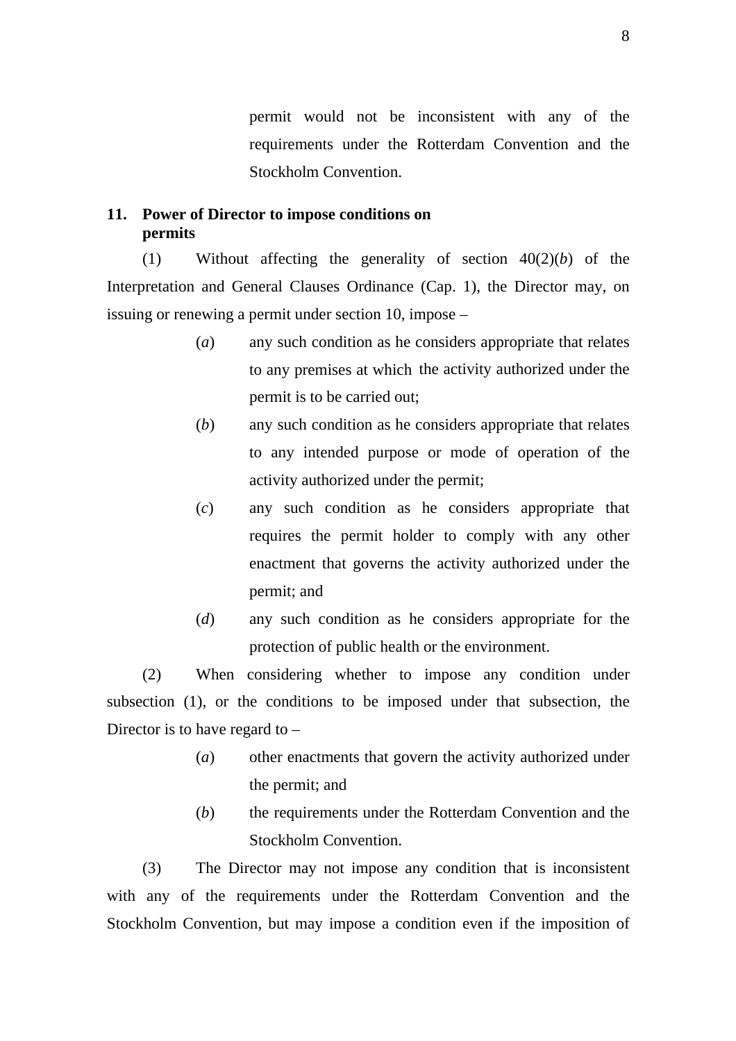permit would not be inconsistent with any of the requirements under the Rotterdam Convention and the Stockholm Convention.

# **11. Power of Director to impose conditions on permits**

(1) Without affecting the generality of section 40(2)(*b*) of the Interpretation and General Clauses Ordinance (Cap. 1), the Director may, on issuing or renewing a permit under section 10, impose –

- (*a*) any such condition as he considers appropriate that relates to any premises at which the activity authorized under the permit is to be carried out;
- (*b*) any such condition as he considers appropriate that relates to any intended purpose or mode of operation of the activity authorized under the permit;
- (*c*) any such condition as he considers appropriate that requires the permit holder to comply with any other enactment that governs the activity authorized under the permit; and
- (*d*) any such condition as he considers appropriate for the protection of public health or the environment.

(2) When considering whether to impose any condition under subsection (1), or the conditions to be imposed under that subsection, the Director is to have regard to –

- (*a*) other enactments that govern the activity authorized under the permit; and
- (*b*) the requirements under the Rotterdam Convention and the Stockholm Convention.

(3) The Director may not impose any condition that is inconsistent with any of the requirements under the Rotterdam Convention and the Stockholm Convention, but may impose a condition even if the imposition of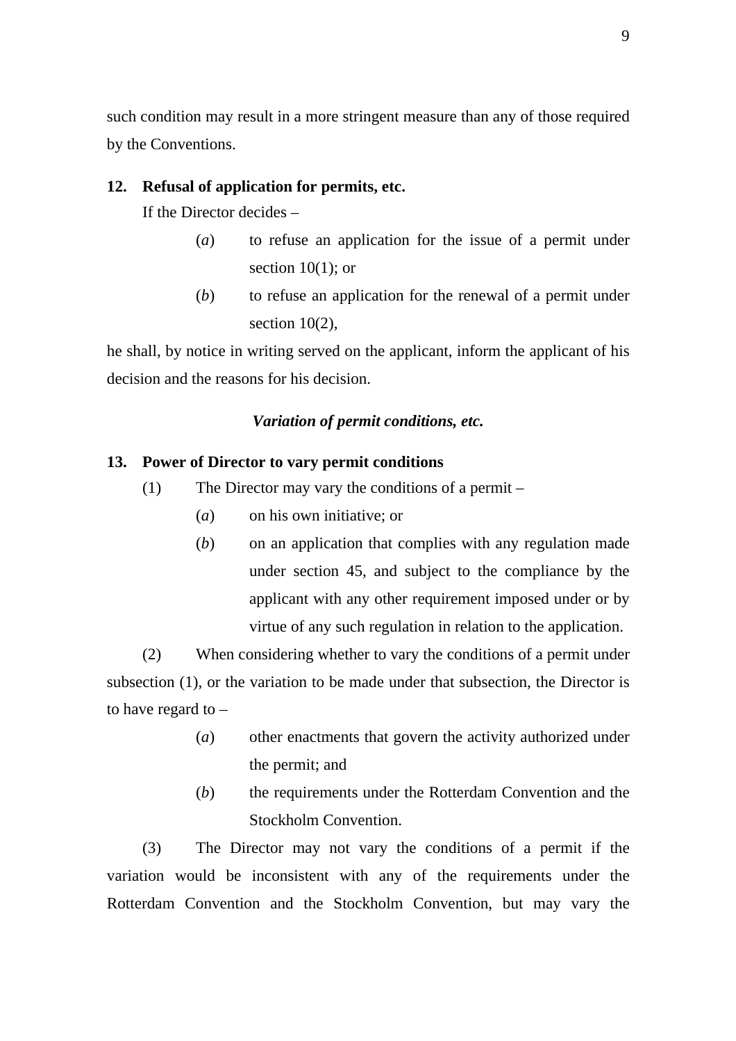such condition may result in a more stringent measure than any of those required by the Conventions.

## **12. Refusal of application for permits, etc.**

If the Director decides –

- (*a*) to refuse an application for the issue of a permit under section  $10(1)$ ; or
- (*b*) to refuse an application for the renewal of a permit under section  $10(2)$ ,

he shall, by notice in writing served on the applicant, inform the applicant of his decision and the reasons for his decision.

### *Variation of permit conditions, etc.*

#### **13. Power of Director to vary permit conditions**

- (1) The Director may vary the conditions of a permit
	- (*a*) on his own initiative; or
	- (*b*) on an application that complies with any regulation made under section 45, and subject to the compliance by the applicant with any other requirement imposed under or by virtue of any such regulation in relation to the application.

(2) When considering whether to vary the conditions of a permit under subsection (1), or the variation to be made under that subsection, the Director is to have regard to –

- (*a*) other enactments that govern the activity authorized under the permit; and
- (*b*) the requirements under the Rotterdam Convention and the Stockholm Convention.

(3) The Director may not vary the conditions of a permit if the variation would be inconsistent with any of the requirements under the Rotterdam Convention and the Stockholm Convention, but may vary the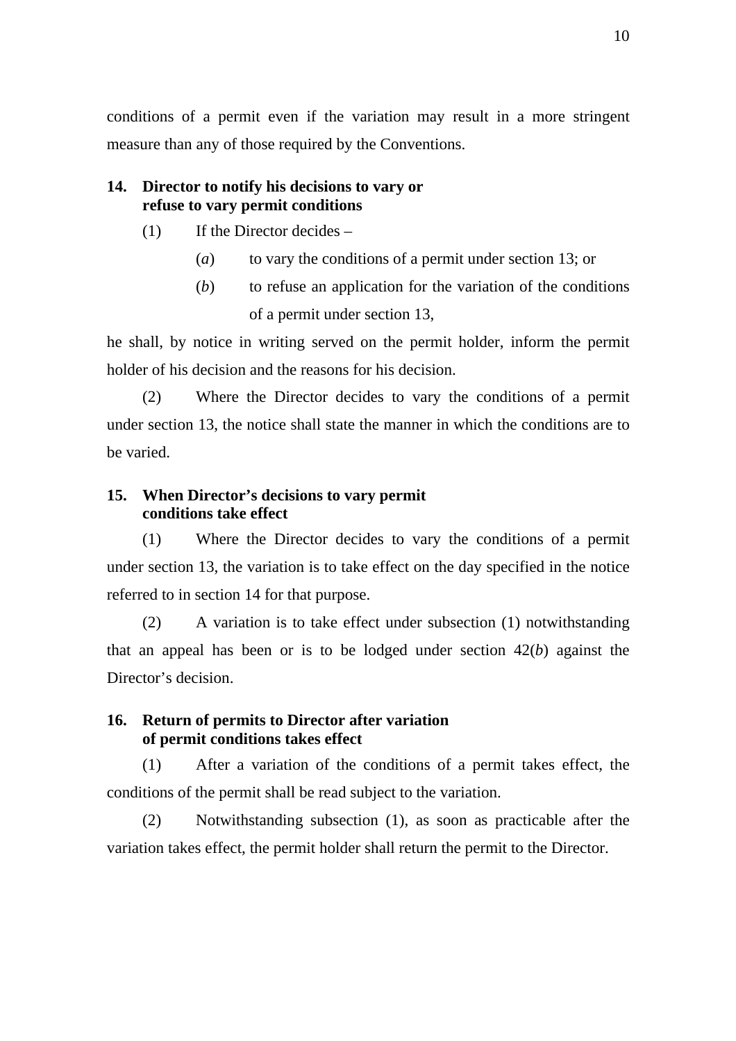conditions of a permit even if the variation may result in a more stringent measure than any of those required by the Conventions.

### **14. Director to notify his decisions to vary or refuse to vary permit conditions**

- (1) If the Director decides
	- (*a*) to vary the conditions of a permit under section 13; or
	- (*b*) to refuse an application for the variation of the conditions of a permit under section 13,

he shall, by notice in writing served on the permit holder, inform the permit holder of his decision and the reasons for his decision.

(2) Where the Director decides to vary the conditions of a permit under section 13, the notice shall state the manner in which the conditions are to be varied.

# **15. When Director's decisions to vary permit conditions take effect**

(1) Where the Director decides to vary the conditions of a permit under section 13, the variation is to take effect on the day specified in the notice referred to in section 14 for that purpose.

(2) A variation is to take effect under subsection (1) notwithstanding that an appeal has been or is to be lodged under section 42(*b*) against the Director's decision.

# **16. Return of permits to Director after variation of permit conditions takes effect**

(1) After a variation of the conditions of a permit takes effect, the conditions of the permit shall be read subject to the variation.

(2) Notwithstanding subsection (1), as soon as practicable after the variation takes effect, the permit holder shall return the permit to the Director.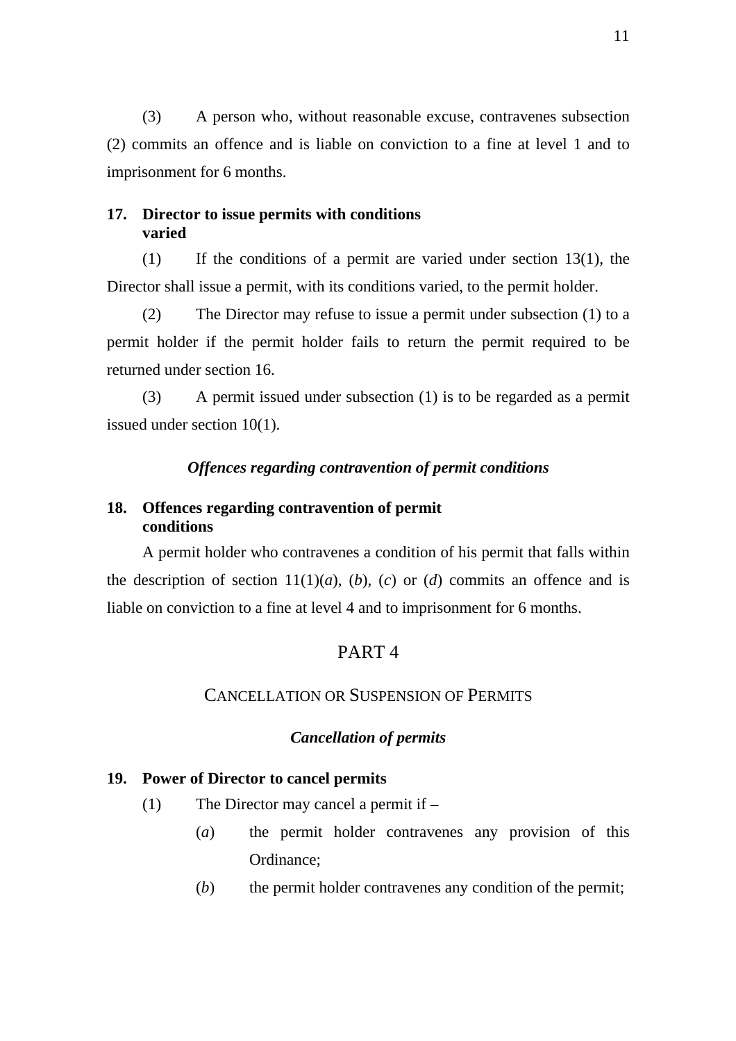(3) A person who, without reasonable excuse, contravenes subsection (2) commits an offence and is liable on conviction to a fine at level 1 and to imprisonment for 6 months.

### **17. Director to issue permits with conditions varied**

(1) If the conditions of a permit are varied under section 13(1), the Director shall issue a permit, with its conditions varied, to the permit holder.

(2) The Director may refuse to issue a permit under subsection (1) to a permit holder if the permit holder fails to return the permit required to be returned under section 16.

(3) A permit issued under subsection (1) is to be regarded as a permit issued under section 10(1).

# *Offences regarding contravention of permit conditions*

# **18. Offences regarding contravention of permit conditions**

A permit holder who contravenes a condition of his permit that falls within the description of section  $11(1)(a)$ ,  $(b)$ ,  $(c)$  or  $(d)$  commits an offence and is liable on conviction to a fine at level 4 and to imprisonment for 6 months.

# PART 4

# CANCELLATION OR SUSPENSION OF PERMITS

## *Cancellation of permits*

### **19. Power of Director to cancel permits**

- (1) The Director may cancel a permit if
	- (*a*) the permit holder contravenes any provision of this Ordinance;
	- (*b*) the permit holder contravenes any condition of the permit;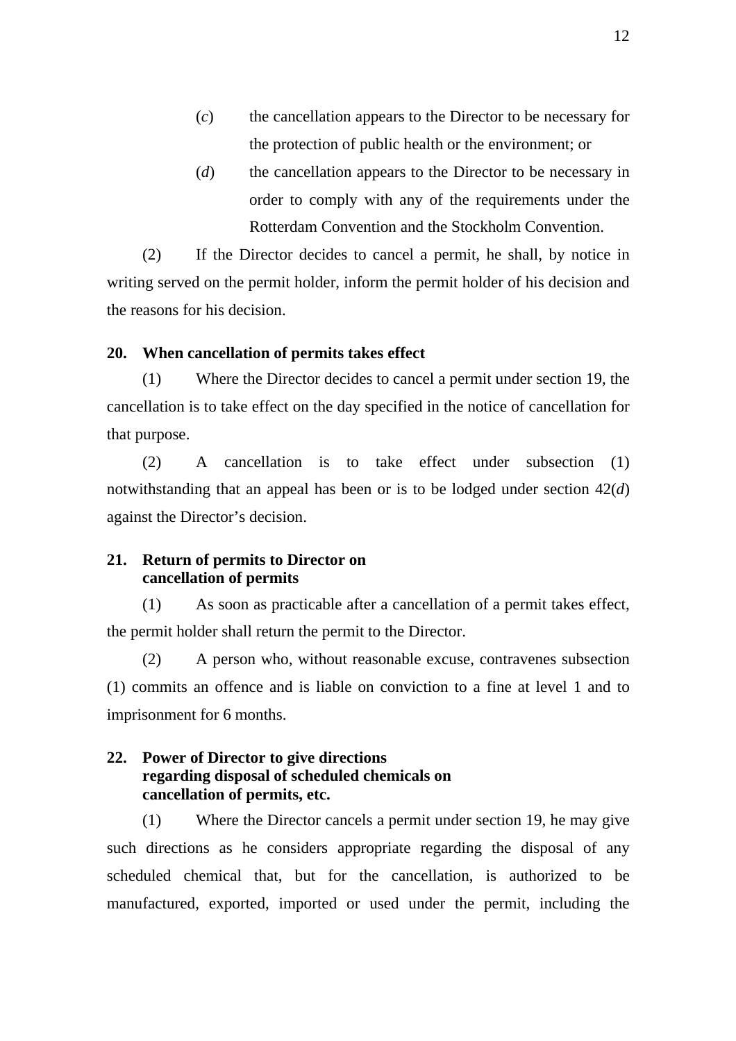- (*c*) the cancellation appears to the Director to be necessary for the protection of public health or the environment; or
- (*d*) the cancellation appears to the Director to be necessary in order to comply with any of the requirements under the Rotterdam Convention and the Stockholm Convention.

(2) If the Director decides to cancel a permit, he shall, by notice in writing served on the permit holder, inform the permit holder of his decision and the reasons for his decision.

#### **20. When cancellation of permits takes effect**

(1) Where the Director decides to cancel a permit under section 19, the cancellation is to take effect on the day specified in the notice of cancellation for that purpose.

(2) A cancellation is to take effect under subsection (1) notwithstanding that an appeal has been or is to be lodged under section 42(*d*) against the Director's decision.

### **21. Return of permits to Director on cancellation of permits**

(1) As soon as practicable after a cancellation of a permit takes effect, the permit holder shall return the permit to the Director.

(2) A person who, without reasonable excuse, contravenes subsection (1) commits an offence and is liable on conviction to a fine at level 1 and to imprisonment for 6 months.

# **22. Power of Director to give directions regarding disposal of scheduled chemicals on cancellation of permits, etc.**

(1) Where the Director cancels a permit under section 19, he may give such directions as he considers appropriate regarding the disposal of any scheduled chemical that, but for the cancellation, is authorized to be manufactured, exported, imported or used under the permit, including the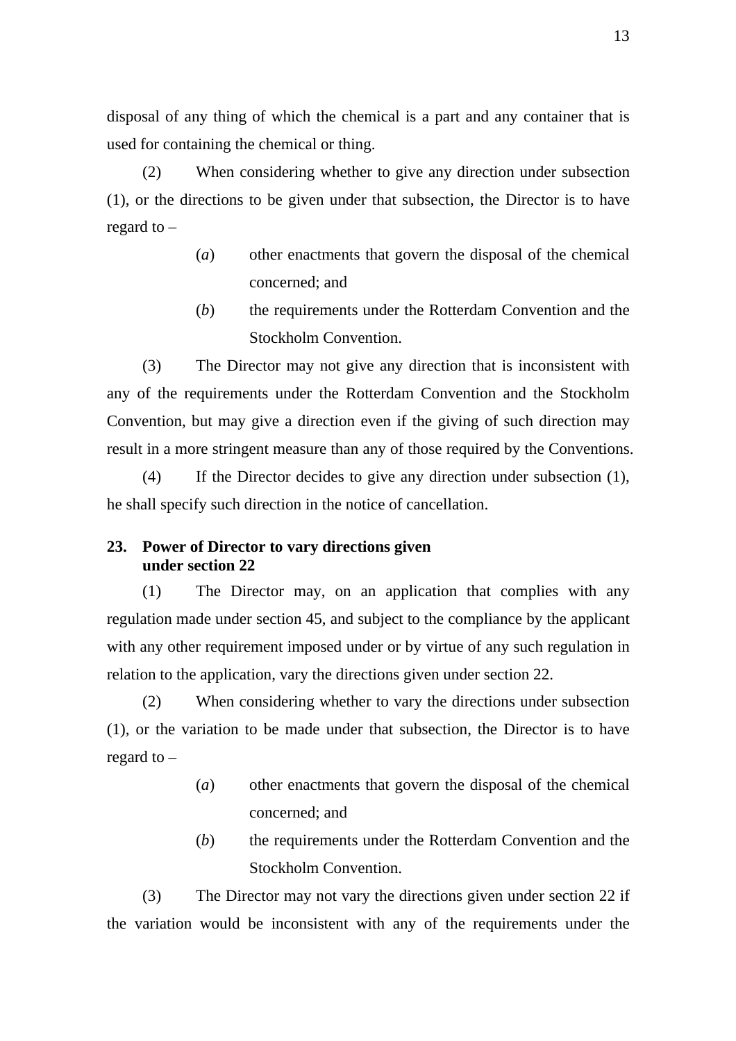disposal of any thing of which the chemical is a part and any container that is used for containing the chemical or thing.

(2) When considering whether to give any direction under subsection (1), or the directions to be given under that subsection, the Director is to have regard to –

- (*a*) other enactments that govern the disposal of the chemical concerned; and
- (*b*) the requirements under the Rotterdam Convention and the Stockholm Convention.

(3) The Director may not give any direction that is inconsistent with any of the requirements under the Rotterdam Convention and the Stockholm Convention, but may give a direction even if the giving of such direction may result in a more stringent measure than any of those required by the Conventions.

(4) If the Director decides to give any direction under subsection (1), he shall specify such direction in the notice of cancellation.

# **23. Power of Director to vary directions given under section 22**

(1) The Director may, on an application that complies with any regulation made under section 45, and subject to the compliance by the applicant with any other requirement imposed under or by virtue of any such regulation in relation to the application, vary the directions given under section 22.

(2) When considering whether to vary the directions under subsection (1), or the variation to be made under that subsection, the Director is to have regard to –

- (*a*) other enactments that govern the disposal of the chemical concerned; and
- (*b*) the requirements under the Rotterdam Convention and the Stockholm Convention.

(3) The Director may not vary the directions given under section 22 if the variation would be inconsistent with any of the requirements under the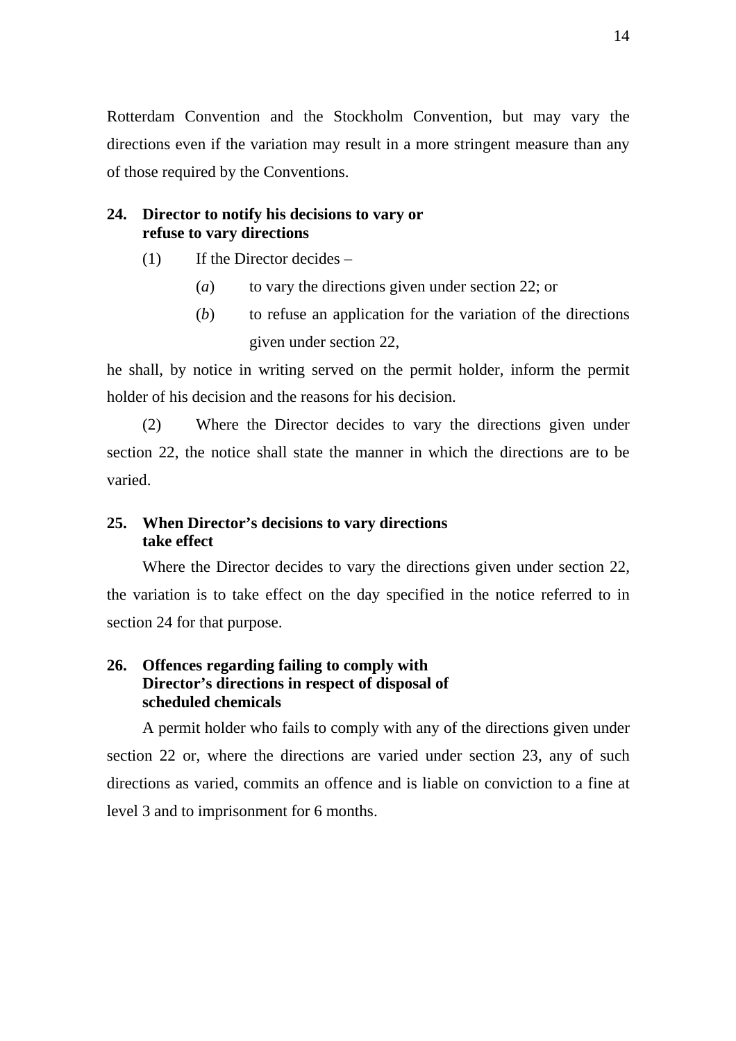Rotterdam Convention and the Stockholm Convention, but may vary the directions even if the variation may result in a more stringent measure than any of those required by the Conventions.

# **24. Director to notify his decisions to vary or refuse to vary directions**

- (1) If the Director decides
	- (*a*) to vary the directions given under section 22; or
	- (*b*) to refuse an application for the variation of the directions given under section 22,

he shall, by notice in writing served on the permit holder, inform the permit holder of his decision and the reasons for his decision.

(2) Where the Director decides to vary the directions given under section 22, the notice shall state the manner in which the directions are to be varied.

# **25. When Director's decisions to vary directions take effect**

Where the Director decides to vary the directions given under section 22, the variation is to take effect on the day specified in the notice referred to in section 24 for that purpose.

# **26. Offences regarding failing to comply with Director's directions in respect of disposal of scheduled chemicals**

A permit holder who fails to comply with any of the directions given under section 22 or, where the directions are varied under section 23, any of such directions as varied, commits an offence and is liable on conviction to a fine at level 3 and to imprisonment for 6 months.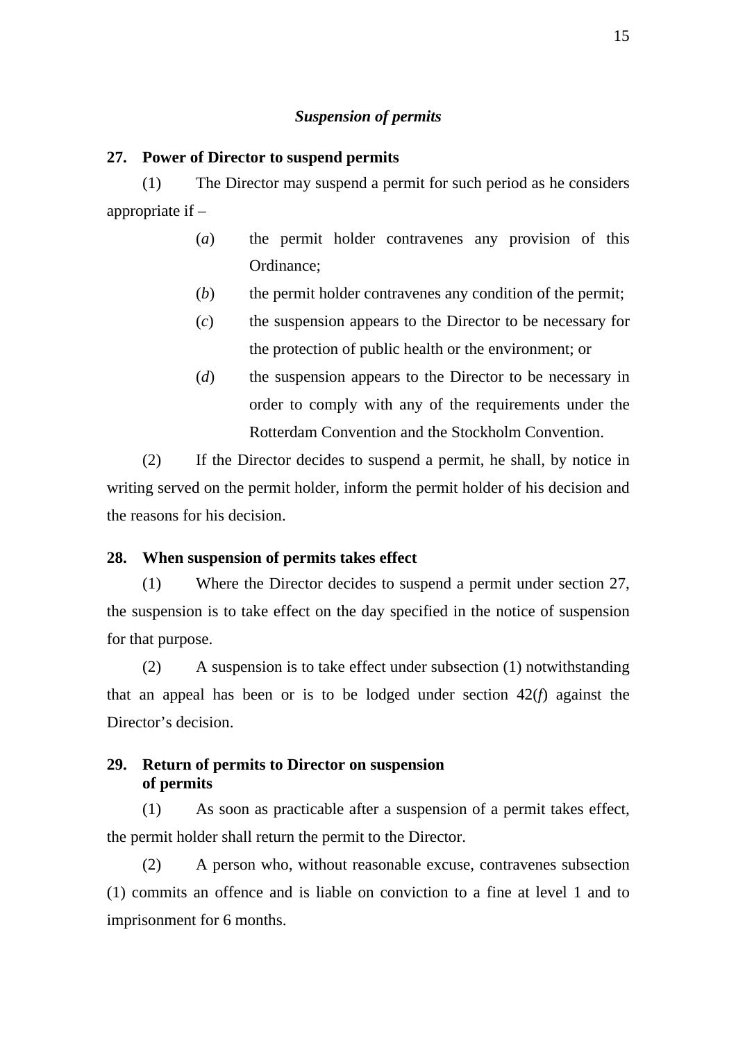#### *Suspension of permits*

#### **27. Power of Director to suspend permits**

(1) The Director may suspend a permit for such period as he considers appropriate if –

- (*a*) the permit holder contravenes any provision of this Ordinance;
- (*b*) the permit holder contravenes any condition of the permit;
- (*c*) the suspension appears to the Director to be necessary for the protection of public health or the environment; or
- (*d*) the suspension appears to the Director to be necessary in order to comply with any of the requirements under the Rotterdam Convention and the Stockholm Convention.

(2) If the Director decides to suspend a permit, he shall, by notice in writing served on the permit holder, inform the permit holder of his decision and the reasons for his decision.

#### **28. When suspension of permits takes effect**

(1) Where the Director decides to suspend a permit under section 27, the suspension is to take effect on the day specified in the notice of suspension for that purpose.

(2) A suspension is to take effect under subsection (1) notwithstanding that an appeal has been or is to be lodged under section 42(*f*) against the Director's decision.

## **29. Return of permits to Director on suspension of permits**

(1) As soon as practicable after a suspension of a permit takes effect, the permit holder shall return the permit to the Director.

(2) A person who, without reasonable excuse, contravenes subsection (1) commits an offence and is liable on conviction to a fine at level 1 and to imprisonment for 6 months.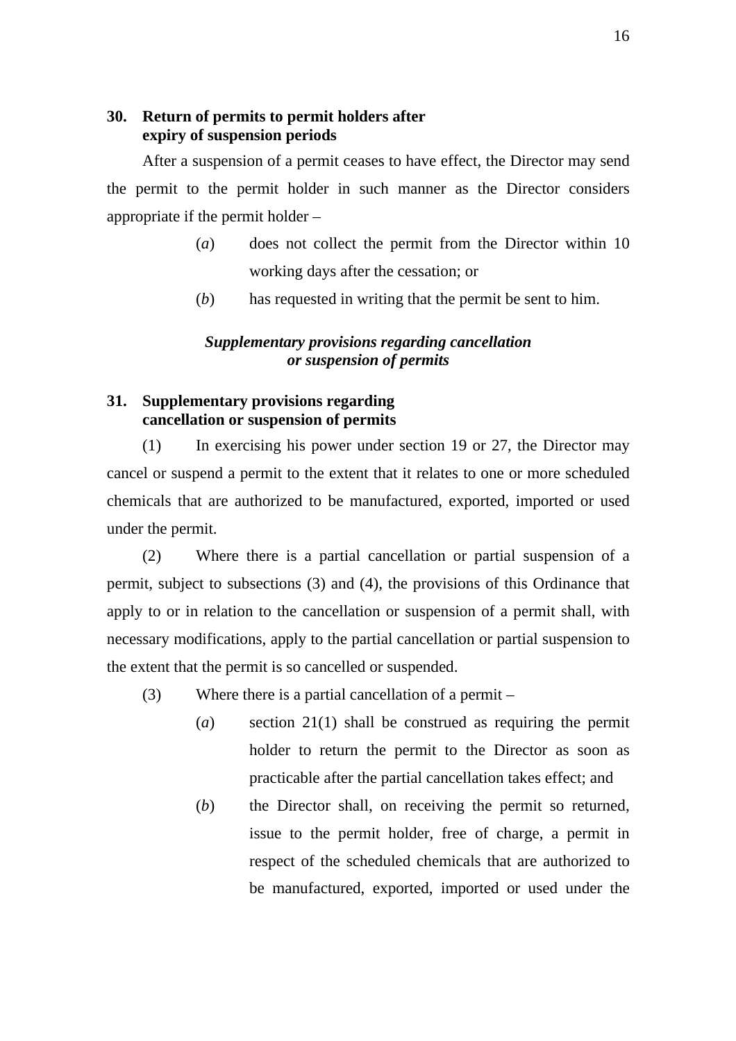# **30. Return of permits to permit holders after expiry of suspension periods**

After a suspension of a permit ceases to have effect, the Director may send the permit to the permit holder in such manner as the Director considers appropriate if the permit holder –

- (*a*) does not collect the permit from the Director within 10 working days after the cessation; or
- (*b*) has requested in writing that the permit be sent to him.

# *Supplementary provisions regarding cancellation or suspension of permits*

# **31. Supplementary provisions regarding cancellation or suspension of permits**

(1) In exercising his power under section 19 or 27, the Director may cancel or suspend a permit to the extent that it relates to one or more scheduled chemicals that are authorized to be manufactured, exported, imported or used under the permit.

(2) Where there is a partial cancellation or partial suspension of a permit, subject to subsections (3) and (4), the provisions of this Ordinance that apply to or in relation to the cancellation or suspension of a permit shall, with necessary modifications, apply to the partial cancellation or partial suspension to the extent that the permit is so cancelled or suspended.

- (3) Where there is a partial cancellation of a permit
	- (*a*) section 21(1) shall be construed as requiring the permit holder to return the permit to the Director as soon as practicable after the partial cancellation takes effect; and
	- (*b*) the Director shall, on receiving the permit so returned, issue to the permit holder, free of charge, a permit in respect of the scheduled chemicals that are authorized to be manufactured, exported, imported or used under the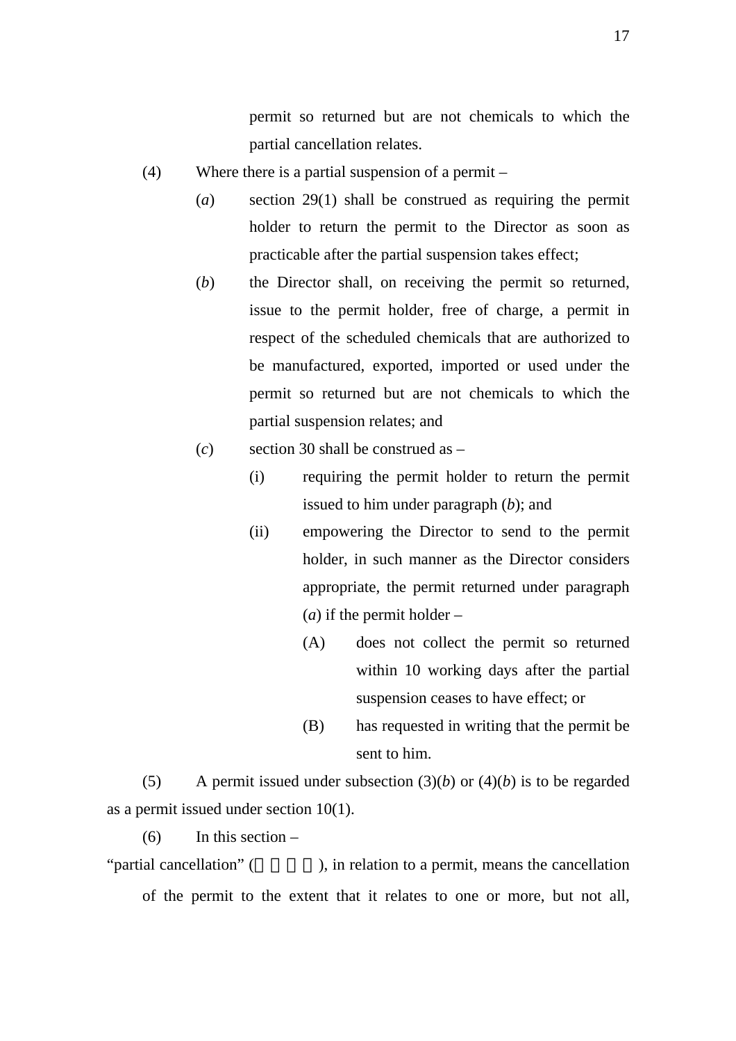permit so returned but are not chemicals to which the partial cancellation relates.

- (4) Where there is a partial suspension of a permit
	- (*a*) section 29(1) shall be construed as requiring the permit holder to return the permit to the Director as soon as practicable after the partial suspension takes effect;
	- (*b*) the Director shall, on receiving the permit so returned, issue to the permit holder, free of charge, a permit in respect of the scheduled chemicals that are authorized to be manufactured, exported, imported or used under the permit so returned but are not chemicals to which the partial suspension relates; and
	- (*c*) section 30 shall be construed as
		- (i) requiring the permit holder to return the permit issued to him under paragraph (*b*); and
		- (ii) empowering the Director to send to the permit holder, in such manner as the Director considers appropriate, the permit returned under paragraph (*a*) if the permit holder –
			- (A) does not collect the permit so returned within 10 working days after the partial suspension ceases to have effect; or
			- (B) has requested in writing that the permit be sent to him.

(5) A permit issued under subsection  $(3)(b)$  or  $(4)(b)$  is to be regarded as a permit issued under section 10(1).

 $(6)$  In this section –

"partial cancellation" (entity), in relation to a permit, means the cancellation of the permit to the extent that it relates to one or more, but not all,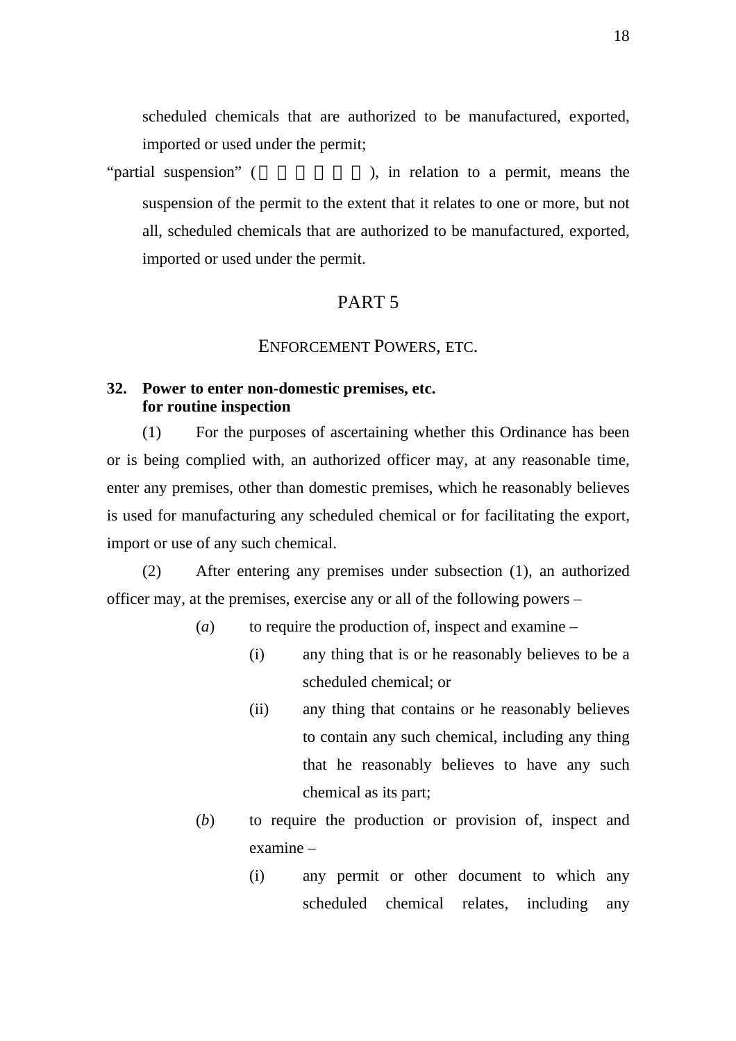scheduled chemicals that are authorized to be manufactured, exported, imported or used under the permit;

"partial suspension" (  $\qquad \qquad$ ), in relation to a permit, means the suspension of the permit to the extent that it relates to one or more, but not all, scheduled chemicals that are authorized to be manufactured, exported, imported or used under the permit.

# PART 5

### ENFORCEMENT POWERS, ETC.

#### **32. Power to enter non-domestic premises, etc. for routine inspection**

(1) For the purposes of ascertaining whether this Ordinance has been or is being complied with, an authorized officer may, at any reasonable time, enter any premises, other than domestic premises, which he reasonably believes is used for manufacturing any scheduled chemical or for facilitating the export, import or use of any such chemical.

(2) After entering any premises under subsection (1), an authorized officer may, at the premises, exercise any or all of the following powers –

- (*a*) to require the production of, inspect and examine
	- (i) any thing that is or he reasonably believes to be a scheduled chemical; or
	- (ii) any thing that contains or he reasonably believes to contain any such chemical, including any thing that he reasonably believes to have any such chemical as its part;
- (*b*) to require the production or provision of, inspect and examine –
	- (i) any permit or other document to which any scheduled chemical relates, including any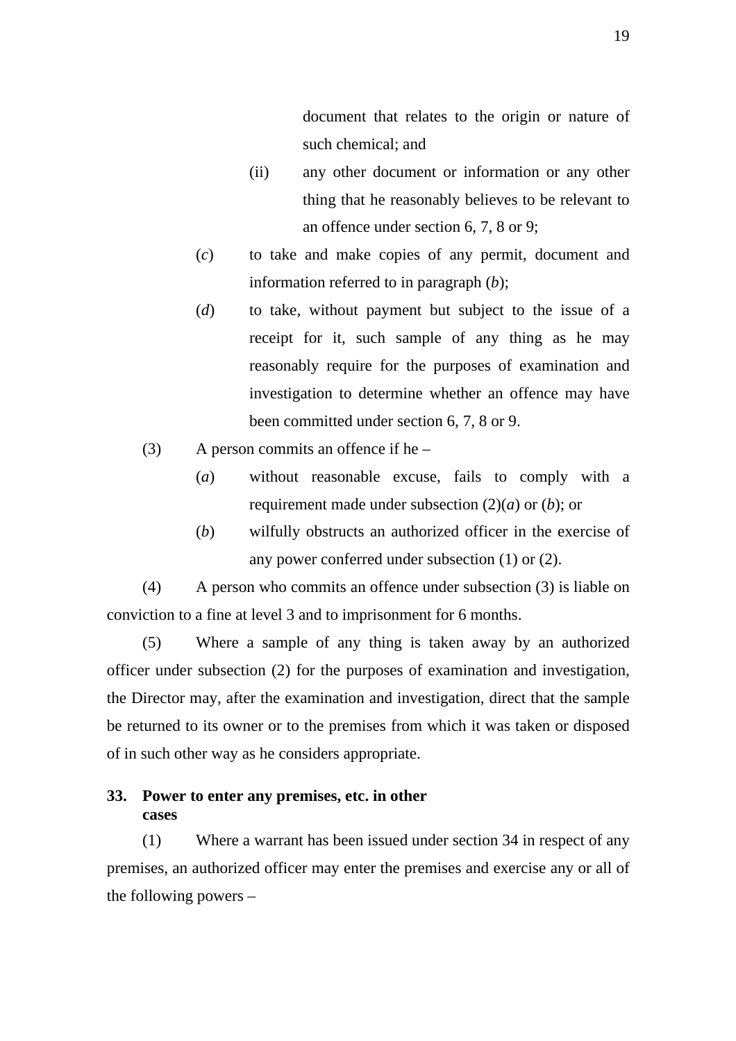document that relates to the origin or nature of such chemical; and

- (ii) any other document or information or any other thing that he reasonably believes to be relevant to an offence under section 6, 7, 8 or 9;
- (*c*) to take and make copies of any permit, document and information referred to in paragraph (*b*);
- (*d*) to take, without payment but subject to the issue of a receipt for it, such sample of any thing as he may reasonably require for the purposes of examination and investigation to determine whether an offence may have been committed under section 6, 7, 8 or 9.
- (3) A person commits an offence if he  $-$ 
	- (*a*) without reasonable excuse, fails to comply with a requirement made under subsection (2)(*a*) or (*b*); or
	- (*b*) wilfully obstructs an authorized officer in the exercise of any power conferred under subsection (1) or (2).

(4) A person who commits an offence under subsection (3) is liable on conviction to a fine at level 3 and to imprisonment for 6 months.

(5) Where a sample of any thing is taken away by an authorized officer under subsection (2) for the purposes of examination and investigation, the Director may, after the examination and investigation, direct that the sample be returned to its owner or to the premises from which it was taken or disposed of in such other way as he considers appropriate.

# **33. Power to enter any premises, etc. in other cases**

(1) Where a warrant has been issued under section 34 in respect of any premises, an authorized officer may enter the premises and exercise any or all of the following powers –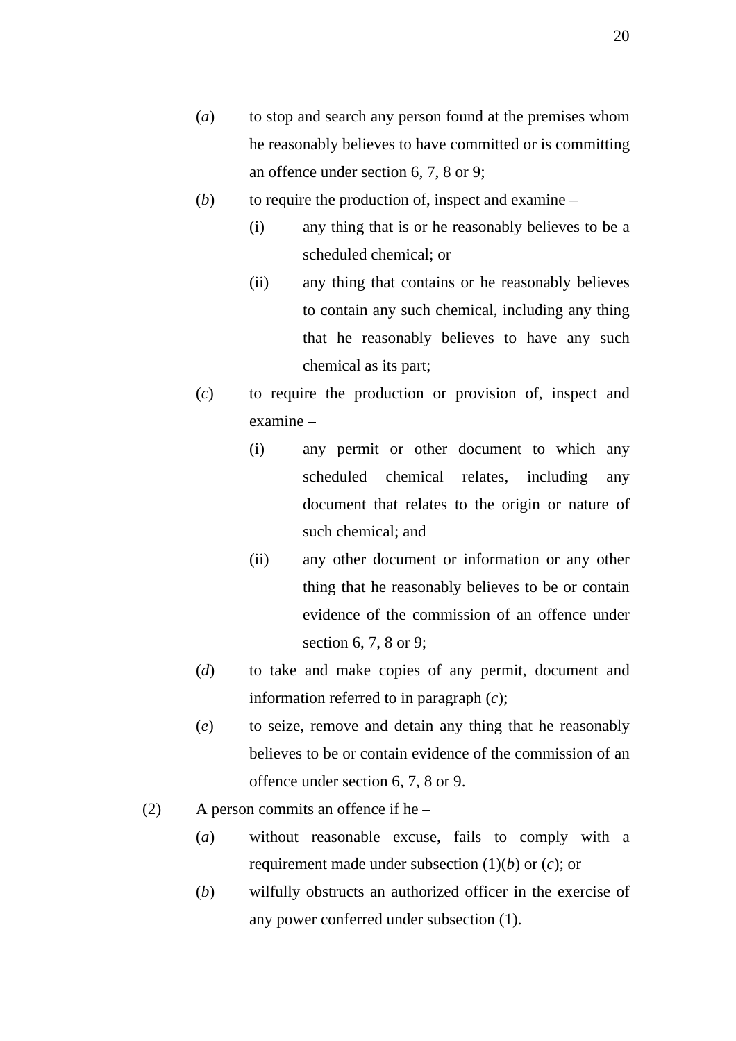- (*a*) to stop and search any person found at the premises whom he reasonably believes to have committed or is committing an offence under section 6, 7, 8 or 9;
- (*b*) to require the production of, inspect and examine
	- (i) any thing that is or he reasonably believes to be a scheduled chemical; or
	- (ii) any thing that contains or he reasonably believes to contain any such chemical, including any thing that he reasonably believes to have any such chemical as its part;
- (*c*) to require the production or provision of, inspect and examine –
	- (i) any permit or other document to which any scheduled chemical relates, including any document that relates to the origin or nature of such chemical; and
	- (ii) any other document or information or any other thing that he reasonably believes to be or contain evidence of the commission of an offence under section 6, 7, 8 or 9;
- (*d*) to take and make copies of any permit, document and information referred to in paragraph (*c*);
- (*e*) to seize, remove and detain any thing that he reasonably believes to be or contain evidence of the commission of an offence under section 6, 7, 8 or 9.
- (2) A person commits an offence if he  $-$ 
	- (*a*) without reasonable excuse, fails to comply with a requirement made under subsection (1)(*b*) or (*c*); or
	- (*b*) wilfully obstructs an authorized officer in the exercise of any power conferred under subsection (1).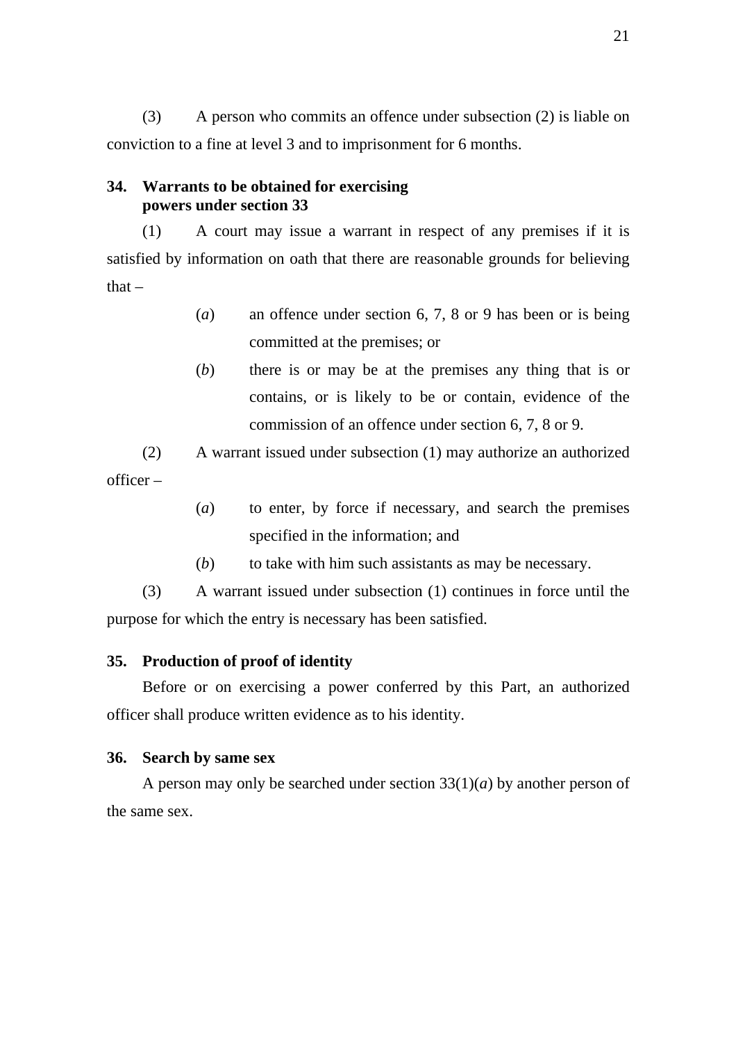(3) A person who commits an offence under subsection (2) is liable on conviction to a fine at level 3 and to imprisonment for 6 months.

### **34. Warrants to be obtained for exercising powers under section 33**

(1) A court may issue a warrant in respect of any premises if it is satisfied by information on oath that there are reasonable grounds for believing that  $-$ 

- (*a*) an offence under section 6, 7, 8 or 9 has been or is being committed at the premises; or
- (*b*) there is or may be at the premises any thing that is or contains, or is likely to be or contain, evidence of the commission of an offence under section 6, 7, 8 or 9.

(2) A warrant issued under subsection (1) may authorize an authorized officer –

- (*a*) to enter, by force if necessary, and search the premises specified in the information; and
- (*b*) to take with him such assistants as may be necessary.

(3) A warrant issued under subsection (1) continues in force until the purpose for which the entry is necessary has been satisfied.

# **35. Production of proof of identity**

Before or on exercising a power conferred by this Part, an authorized officer shall produce written evidence as to his identity.

### **36. Search by same sex**

A person may only be searched under section  $33(1)(a)$  by another person of the same sex.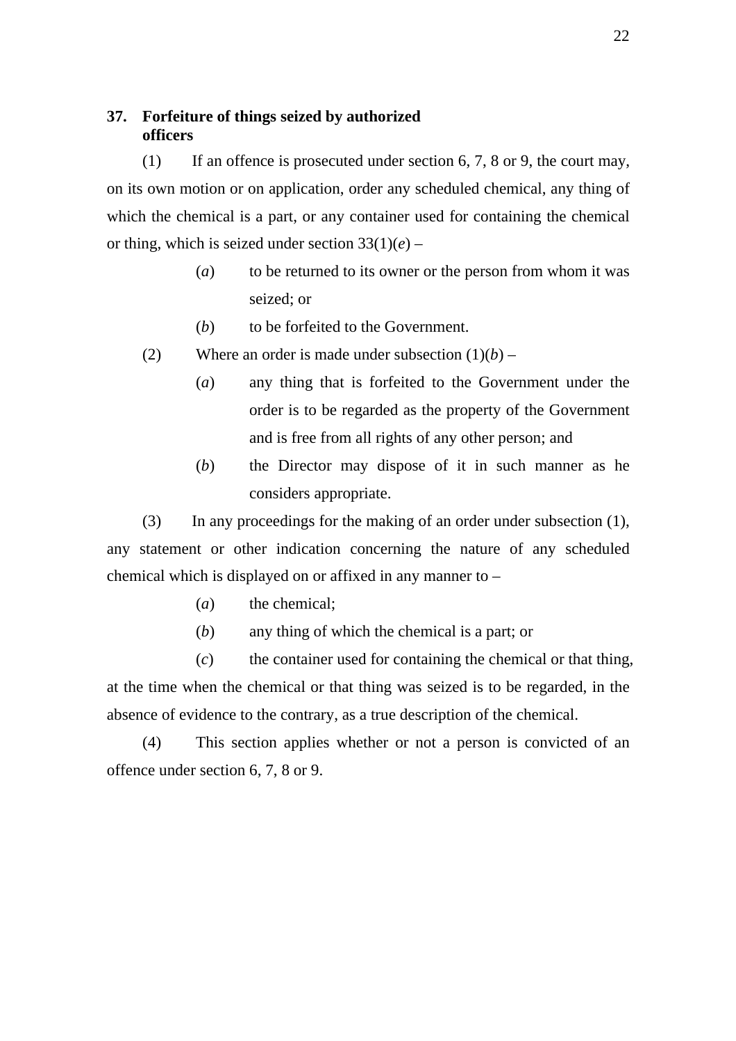# **37. Forfeiture of things seized by authorized officers**

(1) If an offence is prosecuted under section 6, 7, 8 or 9, the court may, on its own motion or on application, order any scheduled chemical, any thing of which the chemical is a part, or any container used for containing the chemical or thing, which is seized under section  $33(1)(e)$  –

- (*a*) to be returned to its owner or the person from whom it was seized; or
- (*b*) to be forfeited to the Government.
- (2) Where an order is made under subsection  $(1)(b)$ 
	- (*a*) any thing that is forfeited to the Government under the order is to be regarded as the property of the Government and is free from all rights of any other person; and
	- (*b*) the Director may dispose of it in such manner as he considers appropriate.

(3) In any proceedings for the making of an order under subsection (1), any statement or other indication concerning the nature of any scheduled chemical which is displayed on or affixed in any manner to –

- (*a*) the chemical:
- (*b*) any thing of which the chemical is a part; or

(*c*) the container used for containing the chemical or that thing, at the time when the chemical or that thing was seized is to be regarded, in the absence of evidence to the contrary, as a true description of the chemical.

(4) This section applies whether or not a person is convicted of an offence under section 6, 7, 8 or 9.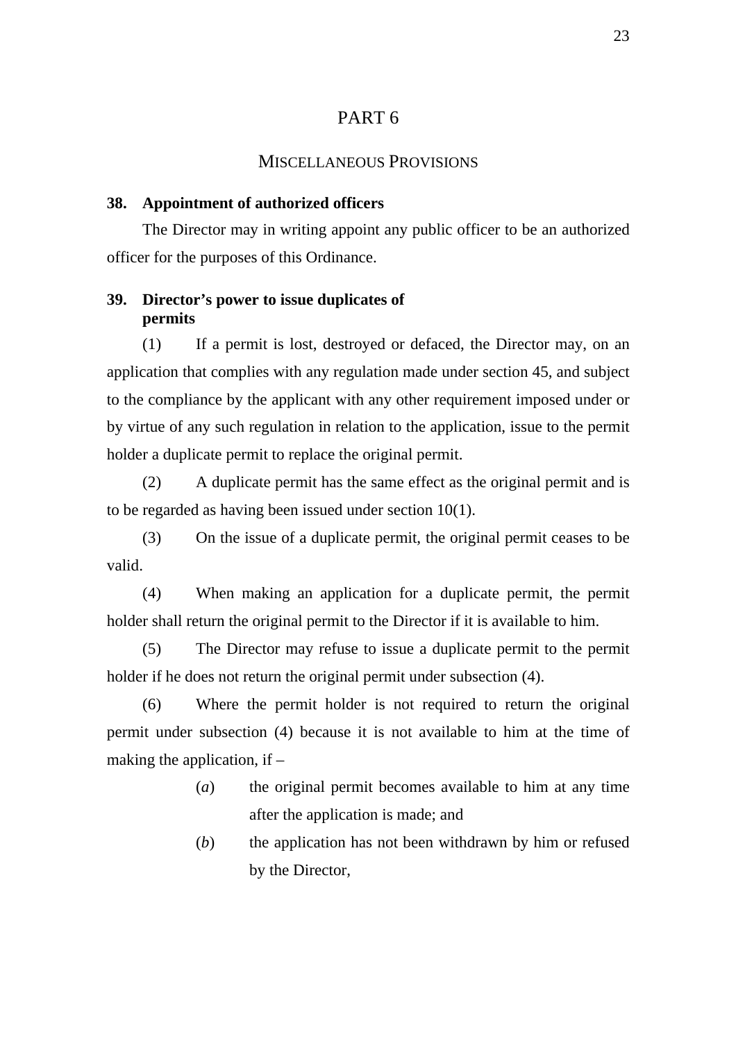# PART 6

## MISCELLANEOUS PROVISIONS

#### **38. Appointment of authorized officers**

The Director may in writing appoint any public officer to be an authorized officer for the purposes of this Ordinance.

# **39. Director's power to issue duplicates of permits**

(1) If a permit is lost, destroyed or defaced, the Director may, on an application that complies with any regulation made under section 45, and subject to the compliance by the applicant with any other requirement imposed under or by virtue of any such regulation in relation to the application, issue to the permit holder a duplicate permit to replace the original permit.

(2) A duplicate permit has the same effect as the original permit and is to be regarded as having been issued under section 10(1).

(3) On the issue of a duplicate permit, the original permit ceases to be valid.

(4) When making an application for a duplicate permit, the permit holder shall return the original permit to the Director if it is available to him.

(5) The Director may refuse to issue a duplicate permit to the permit holder if he does not return the original permit under subsection (4).

(6) Where the permit holder is not required to return the original permit under subsection (4) because it is not available to him at the time of making the application, if –

- (*a*) the original permit becomes available to him at any time after the application is made; and
- (*b*) the application has not been withdrawn by him or refused by the Director,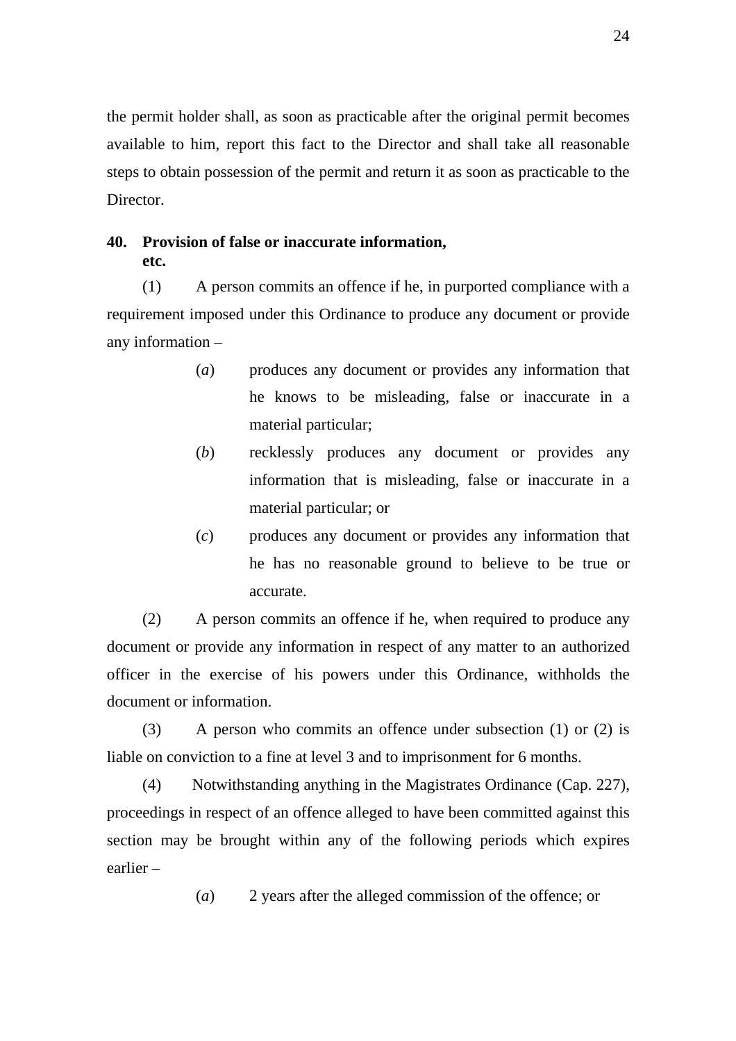the permit holder shall, as soon as practicable after the original permit becomes available to him, report this fact to the Director and shall take all reasonable steps to obtain possession of the permit and return it as soon as practicable to the Director.

# **40. Provision of false or inaccurate information, etc.**

(1) A person commits an offence if he, in purported compliance with a requirement imposed under this Ordinance to produce any document or provide any information –

- (*a*) produces any document or provides any information that he knows to be misleading, false or inaccurate in a material particular;
- (*b*) recklessly produces any document or provides any information that is misleading, false or inaccurate in a material particular; or
- (*c*) produces any document or provides any information that he has no reasonable ground to believe to be true or accurate.

(2) A person commits an offence if he, when required to produce any document or provide any information in respect of any matter to an authorized officer in the exercise of his powers under this Ordinance, withholds the document or information.

(3) A person who commits an offence under subsection (1) or (2) is liable on conviction to a fine at level 3 and to imprisonment for 6 months.

(4) Notwithstanding anything in the Magistrates Ordinance (Cap. 227), proceedings in respect of an offence alleged to have been committed against this section may be brought within any of the following periods which expires earlier –

(*a*) 2 years after the alleged commission of the offence; or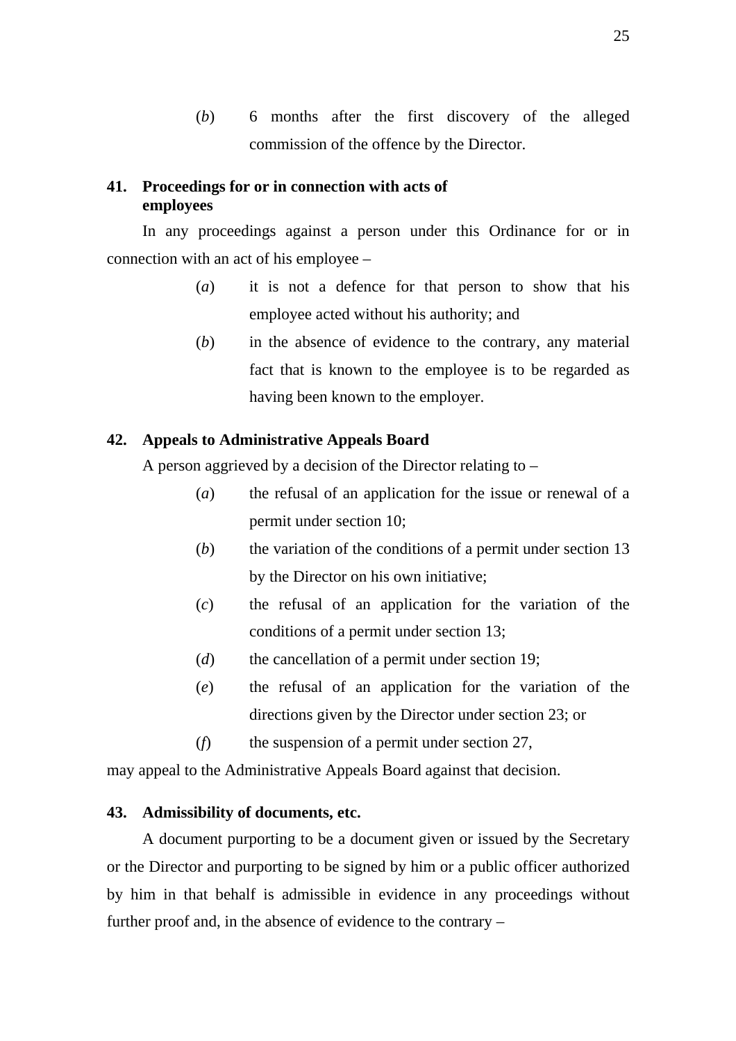(*b*) 6 months after the first discovery of the alleged commission of the offence by the Director.

### **41. Proceedings for or in connection with acts of employees**

In any proceedings against a person under this Ordinance for or in connection with an act of his employee –

- (*a*) it is not a defence for that person to show that his employee acted without his authority; and
- (*b*) in the absence of evidence to the contrary, any material fact that is known to the employee is to be regarded as having been known to the employer.

## **42. Appeals to Administrative Appeals Board**

A person aggrieved by a decision of the Director relating to –

- (*a*) the refusal of an application for the issue or renewal of a permit under section 10;
- (*b*) the variation of the conditions of a permit under section 13 by the Director on his own initiative;
- (*c*) the refusal of an application for the variation of the conditions of a permit under section 13;
- (*d*) the cancellation of a permit under section 19;
- (*e*) the refusal of an application for the variation of the directions given by the Director under section 23; or
- (*f*) the suspension of a permit under section 27,

may appeal to the Administrative Appeals Board against that decision.

### **43. Admissibility of documents, etc.**

A document purporting to be a document given or issued by the Secretary or the Director and purporting to be signed by him or a public officer authorized by him in that behalf is admissible in evidence in any proceedings without further proof and, in the absence of evidence to the contrary –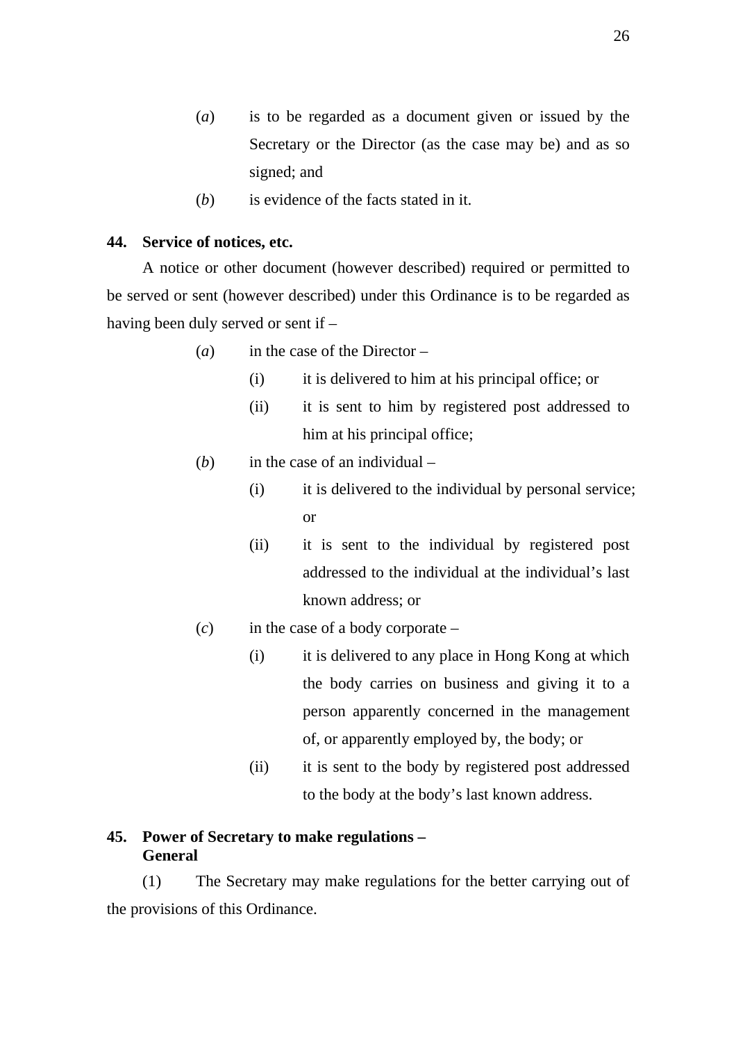- (*a*) is to be regarded as a document given or issued by the Secretary or the Director (as the case may be) and as so signed; and
- (*b*) is evidence of the facts stated in it.

# **44. Service of notices, etc.**

A notice or other document (however described) required or permitted to be served or sent (however described) under this Ordinance is to be regarded as having been duly served or sent if –

- (*a*) in the case of the Director
	- (i) it is delivered to him at his principal office; or
	- (ii) it is sent to him by registered post addressed to him at his principal office;
- (*b*) in the case of an individual
	- (i) it is delivered to the individual by personal service; or
	- (ii) it is sent to the individual by registered post addressed to the individual at the individual's last known address; or
- (*c*) in the case of a body corporate
	- (i) it is delivered to any place in Hong Kong at which the body carries on business and giving it to a person apparently concerned in the management of, or apparently employed by, the body; or
	- (ii) it is sent to the body by registered post addressed to the body at the body's last known address.

# **45. Power of Secretary to make regulations – General**

(1) The Secretary may make regulations for the better carrying out of the provisions of this Ordinance.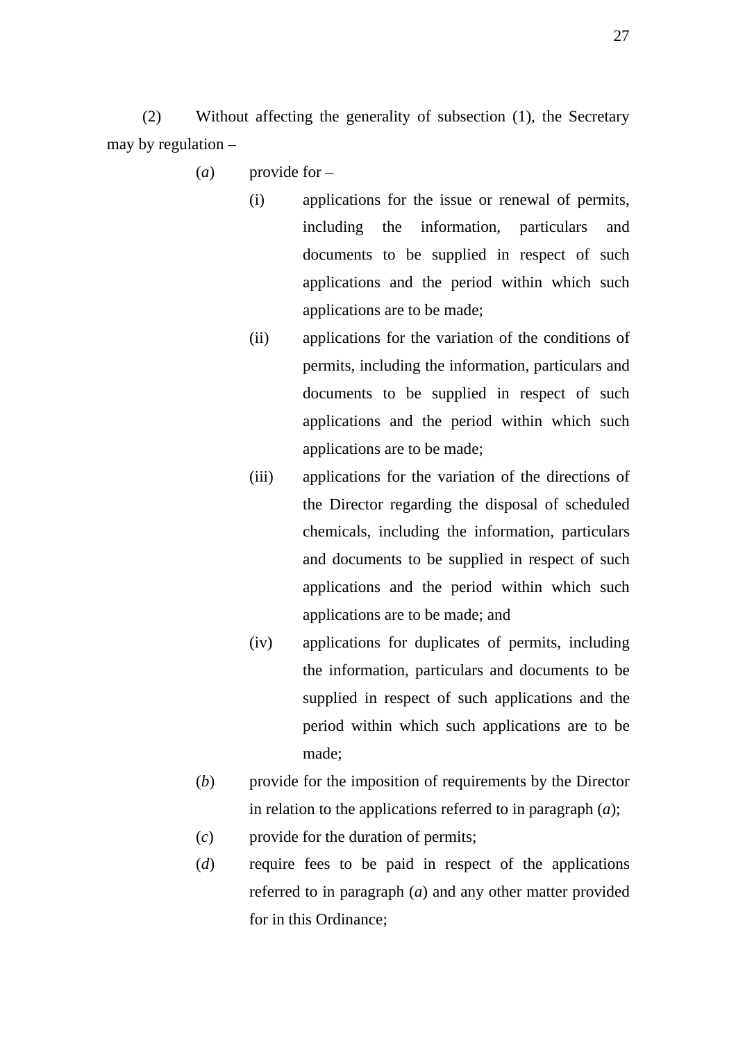(2) Without affecting the generality of subsection (1), the Secretary may by regulation –

- (*a*) provide for
	- (i) applications for the issue or renewal of permits, including the information, particulars and documents to be supplied in respect of such applications and the period within which such applications are to be made;
	- (ii) applications for the variation of the conditions of permits, including the information, particulars and documents to be supplied in respect of such applications and the period within which such applications are to be made;
	- (iii) applications for the variation of the directions of the Director regarding the disposal of scheduled chemicals, including the information, particulars and documents to be supplied in respect of such applications and the period within which such applications are to be made; and
	- (iv) applications for duplicates of permits, including the information, particulars and documents to be supplied in respect of such applications and the period within which such applications are to be made;
- (*b*) provide for the imposition of requirements by the Director in relation to the applications referred to in paragraph (*a*);
- (*c*) provide for the duration of permits;
- (*d*) require fees to be paid in respect of the applications referred to in paragraph (*a*) and any other matter provided for in this Ordinance;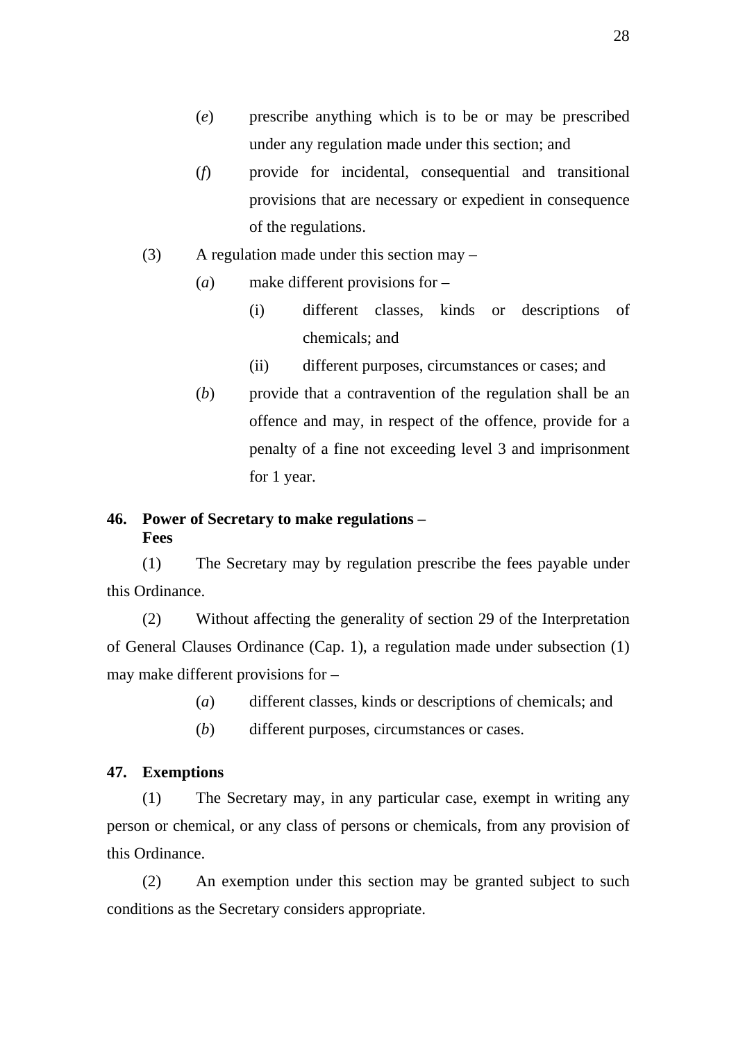- (*e*) prescribe anything which is to be or may be prescribed under any regulation made under this section; and
- (*f*) provide for incidental, consequential and transitional provisions that are necessary or expedient in consequence of the regulations.
- (3) A regulation made under this section may
	- (*a*) make different provisions for
		- (i) different classes, kinds or descriptions of chemicals; and
		- (ii) different purposes, circumstances or cases; and
	- (*b*) provide that a contravention of the regulation shall be an offence and may, in respect of the offence, provide for a penalty of a fine not exceeding level 3 and imprisonment for 1 year.

# **46. Power of Secretary to make regulations – Fees**

(1) The Secretary may by regulation prescribe the fees payable under this Ordinance.

(2) Without affecting the generality of section 29 of the Interpretation of General Clauses Ordinance (Cap. 1), a regulation made under subsection (1) may make different provisions for –

- (*a*) different classes, kinds or descriptions of chemicals; and
- (*b*) different purposes, circumstances or cases.

#### **47. Exemptions**

(1) The Secretary may, in any particular case, exempt in writing any person or chemical, or any class of persons or chemicals, from any provision of this Ordinance.

(2) An exemption under this section may be granted subject to such conditions as the Secretary considers appropriate.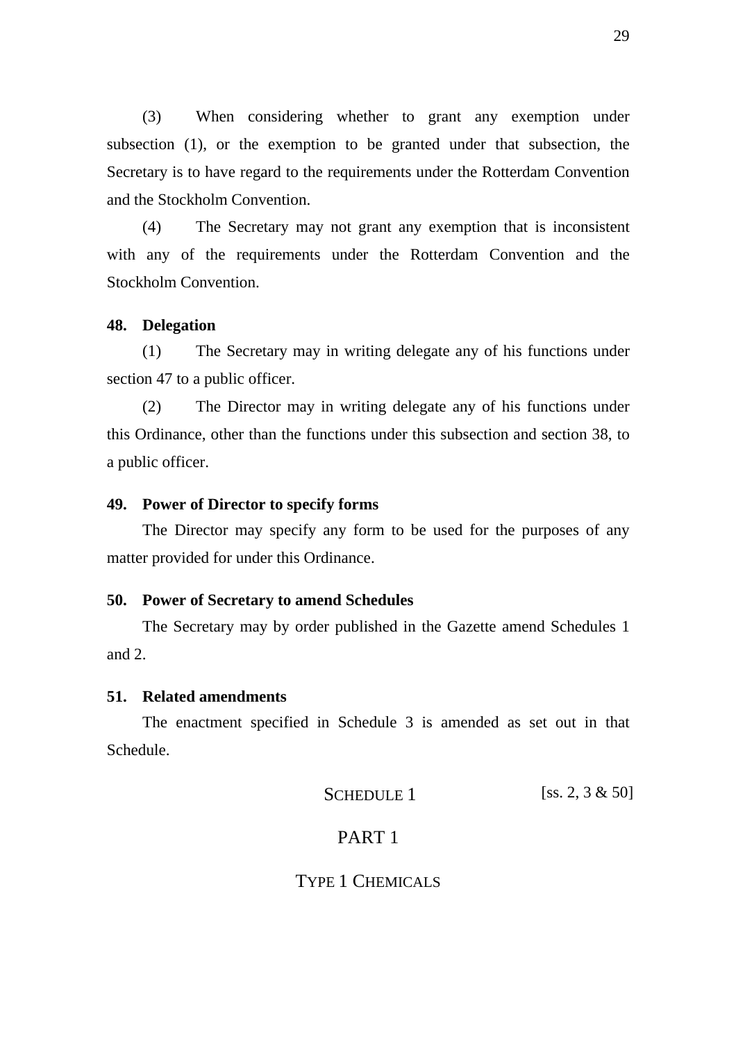(3) When considering whether to grant any exemption under subsection (1), or the exemption to be granted under that subsection, the Secretary is to have regard to the requirements under the Rotterdam Convention and the Stockholm Convention.

(4) The Secretary may not grant any exemption that is inconsistent with any of the requirements under the Rotterdam Convention and the Stockholm Convention.

#### **48. Delegation**

(1) The Secretary may in writing delegate any of his functions under section 47 to a public officer.

(2) The Director may in writing delegate any of his functions under this Ordinance, other than the functions under this subsection and section 38, to a public officer.

#### **49. Power of Director to specify forms**

The Director may specify any form to be used for the purposes of any matter provided for under this Ordinance.

#### **50. Power of Secretary to amend Schedules**

The Secretary may by order published in the Gazette amend Schedules 1 and 2.

#### **51. Related amendments**

The enactment specified in Schedule 3 is amended as set out in that Schedule.

SCHEDULE 1 [ss. 2, 3  $\&$  50]

# PART 1

# TYPE 1 CHEMICALS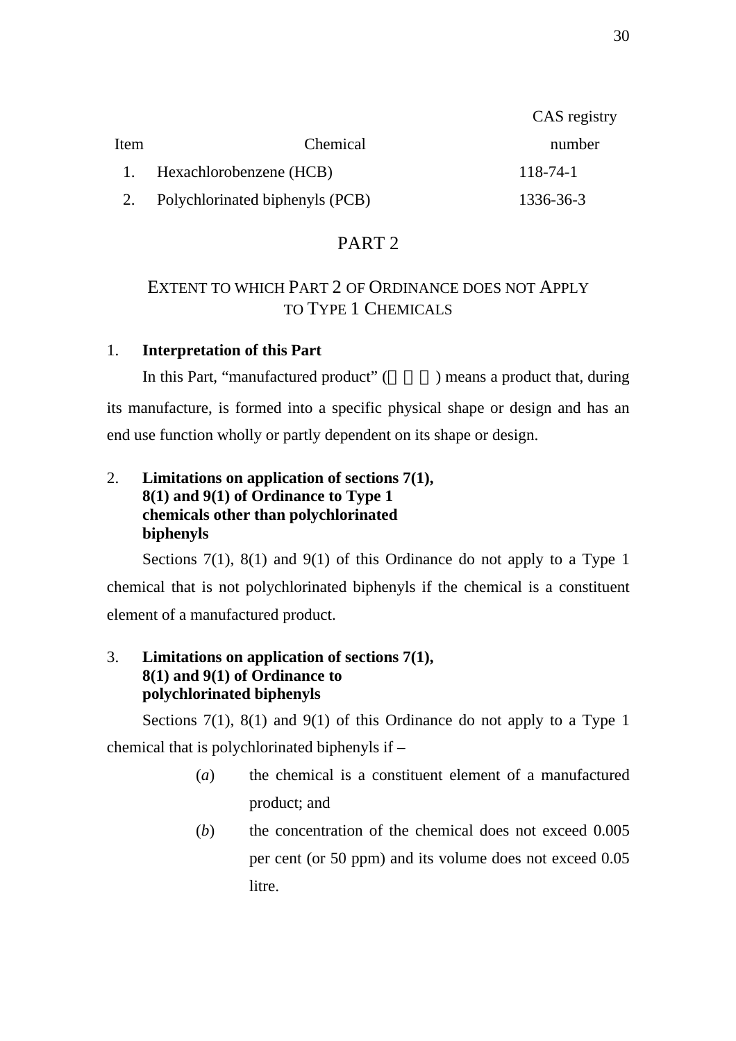|      |                                 | CAS registry   |
|------|---------------------------------|----------------|
| Item | Chemical                        | number         |
|      | 1. Hexachlorobenzene (HCB)      | $118 - 74 - 1$ |
|      | Polychlorinated biphenyls (PCB) | 1336-36-3      |

# PART 2

# EXTENT TO WHICH PART 2 OF ORDINANCE DOES NOT APPLY TO TYPE 1 CHEMICALS

# 1. **Interpretation of this Part**

In this Part, "manufactured product" () means a product that, during its manufacture, is formed into a specific physical shape or design and has an end use function wholly or partly dependent on its shape or design.

# 2. **Limitations on application of sections 7(1), 8(1) and 9(1) of Ordinance to Type 1 chemicals other than polychlorinated biphenyls**

Sections 7(1), 8(1) and 9(1) of this Ordinance do not apply to a Type 1 chemical that is not polychlorinated biphenyls if the chemical is a constituent element of a manufactured product.

# 3. **Limitations on application of sections 7(1), 8(1) and 9(1) of Ordinance to polychlorinated biphenyls**

Sections  $7(1)$ ,  $8(1)$  and  $9(1)$  of this Ordinance do not apply to a Type 1 chemical that is polychlorinated biphenyls if –

- (*a*) the chemical is a constituent element of a manufactured product; and
- (*b*) the concentration of the chemical does not exceed 0.005 per cent (or 50 ppm) and its volume does not exceed 0.05 litre.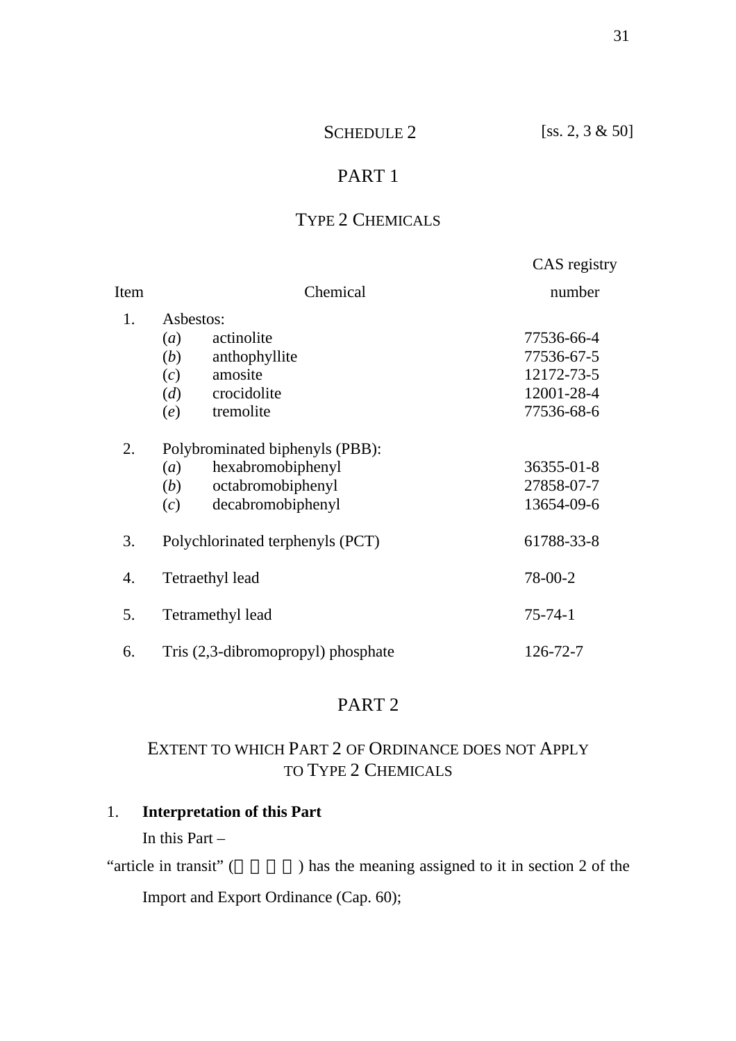# SCHEDULE 2 [ss. 2, 3 & 50]

# PART 1

# TYPE 2 CHEMICALS

|      |                                    | CAS registry  |
|------|------------------------------------|---------------|
| Item | Chemical                           | number        |
| 1.   | Asbestos:                          |               |
|      | actinolite<br>(a)                  | 77536-66-4    |
|      | anthophyllite<br>(b)               | 77536-67-5    |
|      | amosite<br>(c)                     | 12172-73-5    |
|      | crocidolite<br>(d)                 | 12001-28-4    |
|      | tremolite<br>(e)                   | 77536-68-6    |
| 2.   | Polybrominated biphenyls (PBB):    |               |
|      | hexabromobiphenyl<br>(a)           | 36355-01-8    |
|      | octabromobiphenyl<br>(b)           | 27858-07-7    |
|      | decabromobiphenyl<br>(c)           | 13654-09-6    |
| 3.   | Polychlorinated terphenyls (PCT)   | 61788-33-8    |
| 4.   | Tetraethyl lead                    | 78-00-2       |
| 5.   | Tetramethyl lead                   | $75 - 74 - 1$ |
| 6.   | Tris (2,3-dibromopropyl) phosphate | 126-72-7      |

# PART 2

# EXTENT TO WHICH PART 2 OF ORDINANCE DOES NOT APPLY TO TYPE 2 CHEMICALS

# 1. **Interpretation of this Part**

In this Part –

"article in transit"  $($   $)$  has the meaning assigned to it in section 2 of the Import and Export Ordinance (Cap. 60);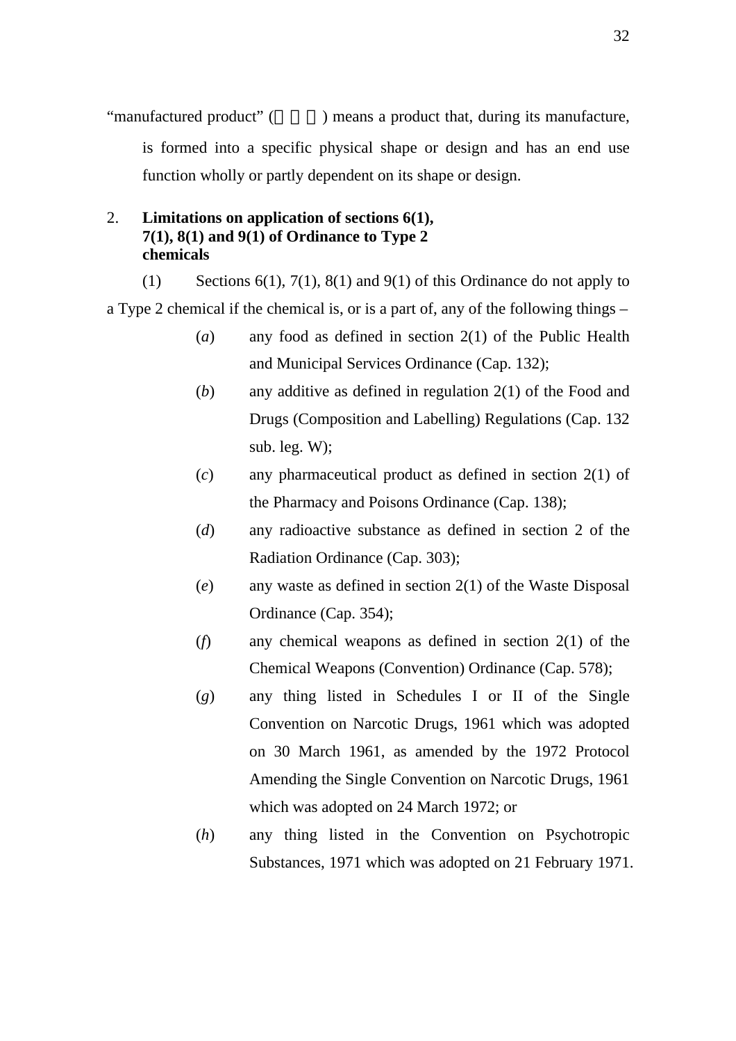"manufactured product" () means a product that, during its manufacture, is formed into a specific physical shape or design and has an end use function wholly or partly dependent on its shape or design.

# 2. **Limitations on application of sections 6(1), 7(1), 8(1) and 9(1) of Ordinance to Type 2 chemicals**

(1) Sections  $6(1)$ ,  $7(1)$ ,  $8(1)$  and  $9(1)$  of this Ordinance do not apply to a Type 2 chemical if the chemical is, or is a part of, any of the following things –

- (*a*) any food as defined in section 2(1) of the Public Health and Municipal Services Ordinance (Cap. 132);
- (*b*) any additive as defined in regulation 2(1) of the Food and Drugs (Composition and Labelling) Regulations (Cap. 132 sub. leg. W);
- (*c*) any pharmaceutical product as defined in section 2(1) of the Pharmacy and Poisons Ordinance (Cap. 138);
- (*d*) any radioactive substance as defined in section 2 of the Radiation Ordinance (Cap. 303);
- (*e*) any waste as defined in section 2(1) of the Waste Disposal Ordinance (Cap. 354);
- (*f*) any chemical weapons as defined in section 2(1) of the Chemical Weapons (Convention) Ordinance (Cap. 578);
- (*g*) any thing listed in Schedules I or II of the Single Convention on Narcotic Drugs, 1961 which was adopted on 30 March 1961, as amended by the 1972 Protocol Amending the Single Convention on Narcotic Drugs, 1961 which was adopted on 24 March 1972; or
- (*h*) any thing listed in the Convention on Psychotropic Substances, 1971 which was adopted on 21 February 1971.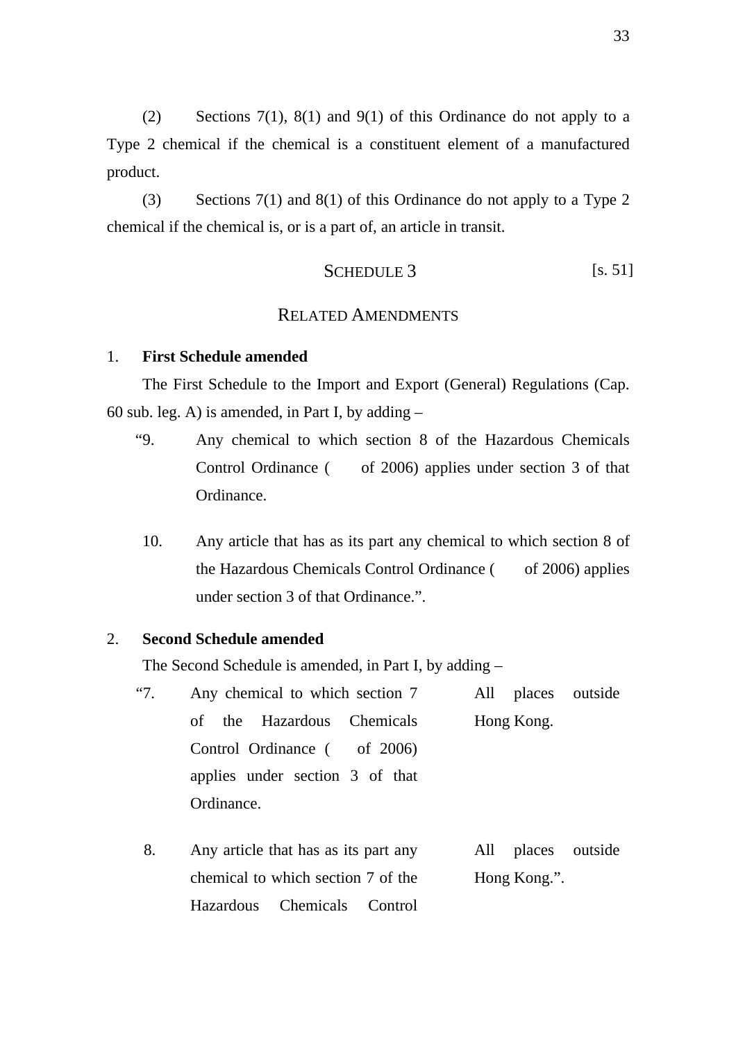(2) Sections 7(1), 8(1) and 9(1) of this Ordinance do not apply to a Type 2 chemical if the chemical is a constituent element of a manufactured product.

(3) Sections 7(1) and 8(1) of this Ordinance do not apply to a Type 2 chemical if the chemical is, or is a part of, an article in transit.

$$
SCHEDULE 3 \t\t\t [s. 51]
$$

# RELATED AMENDMENTS

#### 1. **First Schedule amended**

The First Schedule to the Import and Export (General) Regulations (Cap. 60 sub. leg. A) is amended, in Part I, by adding  $-$ 

- "9. Any chemical to which section 8 of the Hazardous Chemicals Control Ordinance ( of 2006) applies under section 3 of that Ordinance.
	- 10. Any article that has as its part any chemical to which section 8 of the Hazardous Chemicals Control Ordinance ( of 2006) applies under section 3 of that Ordinance.".

### 2. **Second Schedule amended**

The Second Schedule is amended, in Part I, by adding –

| "7. | Any chemical to which section 7 | All places outside |
|-----|---------------------------------|--------------------|
|     | of the Hazardous Chemicals      | Hong Kong.         |
|     | Control Ordinance ( of 2006)    |                    |
|     | applies under section 3 of that |                    |
|     | Ordinance.                      |                    |

8. Any article that has as its part any chemical to which section 7 of the Hazardous Chemicals Control All places outside Hong Kong.".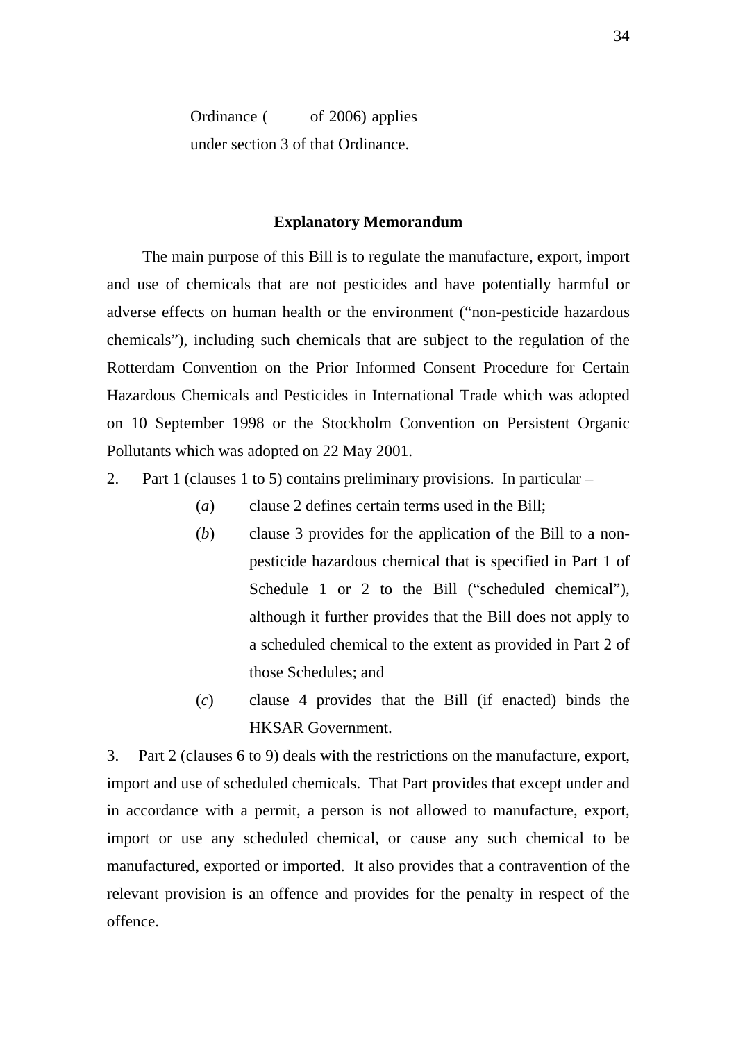Ordinance ( of 2006) applies under section 3 of that Ordinance.

#### **Explanatory Memorandum**

 The main purpose of this Bill is to regulate the manufacture, export, import and use of chemicals that are not pesticides and have potentially harmful or adverse effects on human health or the environment ("non-pesticide hazardous chemicals"), including such chemicals that are subject to the regulation of the Rotterdam Convention on the Prior Informed Consent Procedure for Certain Hazardous Chemicals and Pesticides in International Trade which was adopted on 10 September 1998 or the Stockholm Convention on Persistent Organic Pollutants which was adopted on 22 May 2001.

- 2. Part 1 (clauses 1 to 5) contains preliminary provisions. In particular
	- (*a*) clause 2 defines certain terms used in the Bill;
	- (*b*) clause 3 provides for the application of the Bill to a nonpesticide hazardous chemical that is specified in Part 1 of Schedule 1 or 2 to the Bill ("scheduled chemical"), although it further provides that the Bill does not apply to a scheduled chemical to the extent as provided in Part 2 of those Schedules; and
	- (*c*) clause 4 provides that the Bill (if enacted) binds the HKSAR Government.

3. Part 2 (clauses 6 to 9) deals with the restrictions on the manufacture, export, import and use of scheduled chemicals. That Part provides that except under and in accordance with a permit, a person is not allowed to manufacture, export, import or use any scheduled chemical, or cause any such chemical to be manufactured, exported or imported. It also provides that a contravention of the relevant provision is an offence and provides for the penalty in respect of the offence.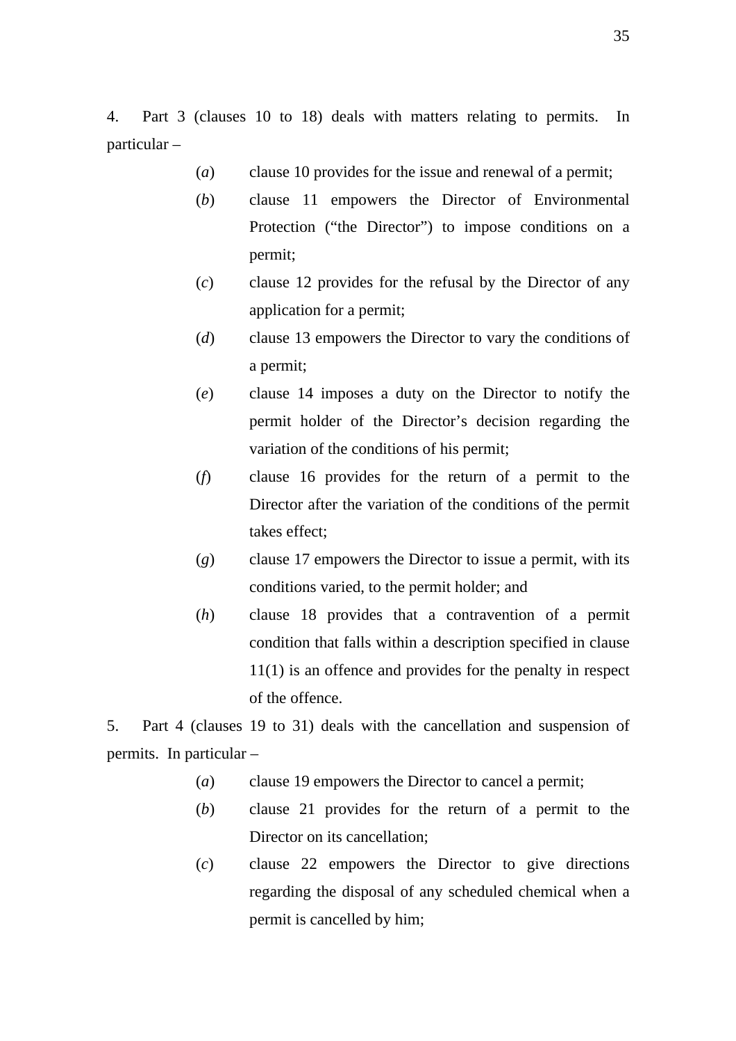4. Part 3 (clauses 10 to 18) deals with matters relating to permits. In particular –

- (*a*) clause 10 provides for the issue and renewal of a permit;
- (*b*) clause 11 empowers the Director of Environmental Protection ("the Director") to impose conditions on a permit;
- (*c*) clause 12 provides for the refusal by the Director of any application for a permit;
- (*d*) clause 13 empowers the Director to vary the conditions of a permit;
- (*e*) clause 14 imposes a duty on the Director to notify the permit holder of the Director's decision regarding the variation of the conditions of his permit;
- (*f*) clause 16 provides for the return of a permit to the Director after the variation of the conditions of the permit takes effect;
- (*g*) clause 17 empowers the Director to issue a permit, with its conditions varied, to the permit holder; and
- (*h*) clause 18 provides that a contravention of a permit condition that falls within a description specified in clause 11(1) is an offence and provides for the penalty in respect of the offence.

5. Part 4 (clauses 19 to 31) deals with the cancellation and suspension of permits. In particular –

- (*a*) clause 19 empowers the Director to cancel a permit;
- (*b*) clause 21 provides for the return of a permit to the Director on its cancellation;
- (*c*) clause 22 empowers the Director to give directions regarding the disposal of any scheduled chemical when a permit is cancelled by him;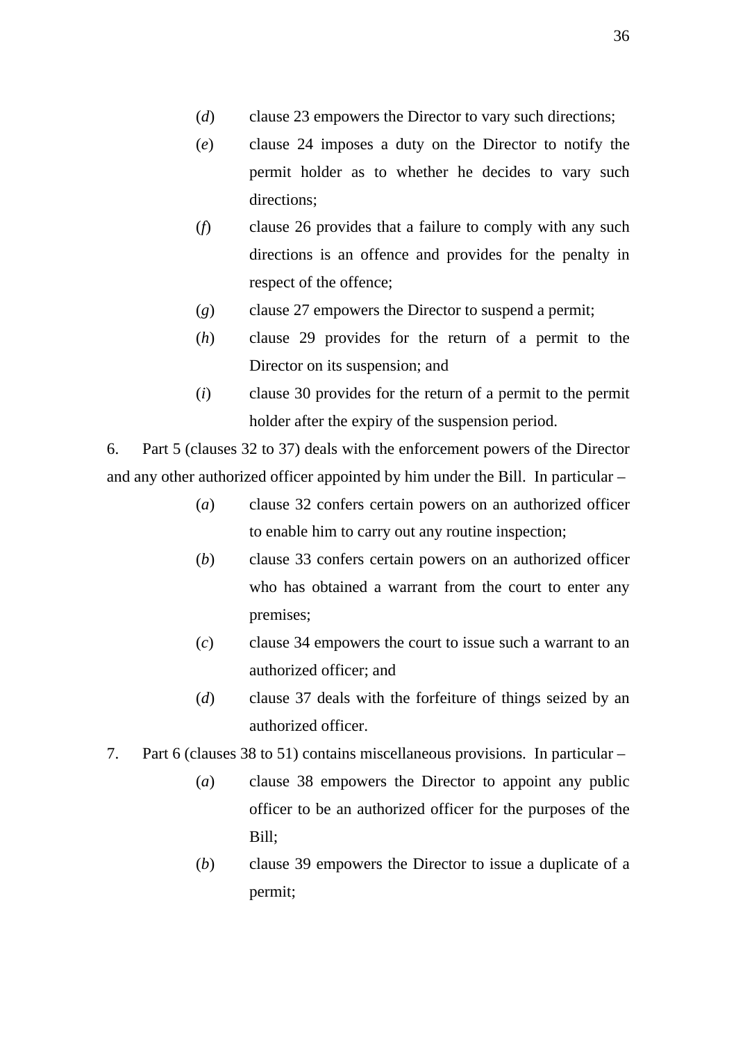- (*d*) clause 23 empowers the Director to vary such directions;
- (*e*) clause 24 imposes a duty on the Director to notify the permit holder as to whether he decides to vary such directions;
- (*f*) clause 26 provides that a failure to comply with any such directions is an offence and provides for the penalty in respect of the offence;
- (*g*) clause 27 empowers the Director to suspend a permit;
- (*h*) clause 29 provides for the return of a permit to the Director on its suspension; and
- (*i*) clause 30 provides for the return of a permit to the permit holder after the expiry of the suspension period.

6. Part 5 (clauses 32 to 37) deals with the enforcement powers of the Director and any other authorized officer appointed by him under the Bill. In particular –

- (*a*) clause 32 confers certain powers on an authorized officer to enable him to carry out any routine inspection;
- (*b*) clause 33 confers certain powers on an authorized officer who has obtained a warrant from the court to enter any premises;
- (*c*) clause 34 empowers the court to issue such a warrant to an authorized officer; and
- (*d*) clause 37 deals with the forfeiture of things seized by an authorized officer.
- 7. Part 6 (clauses 38 to 51) contains miscellaneous provisions. In particular
	- (*a*) clause 38 empowers the Director to appoint any public officer to be an authorized officer for the purposes of the Bill;
	- (*b*) clause 39 empowers the Director to issue a duplicate of a permit;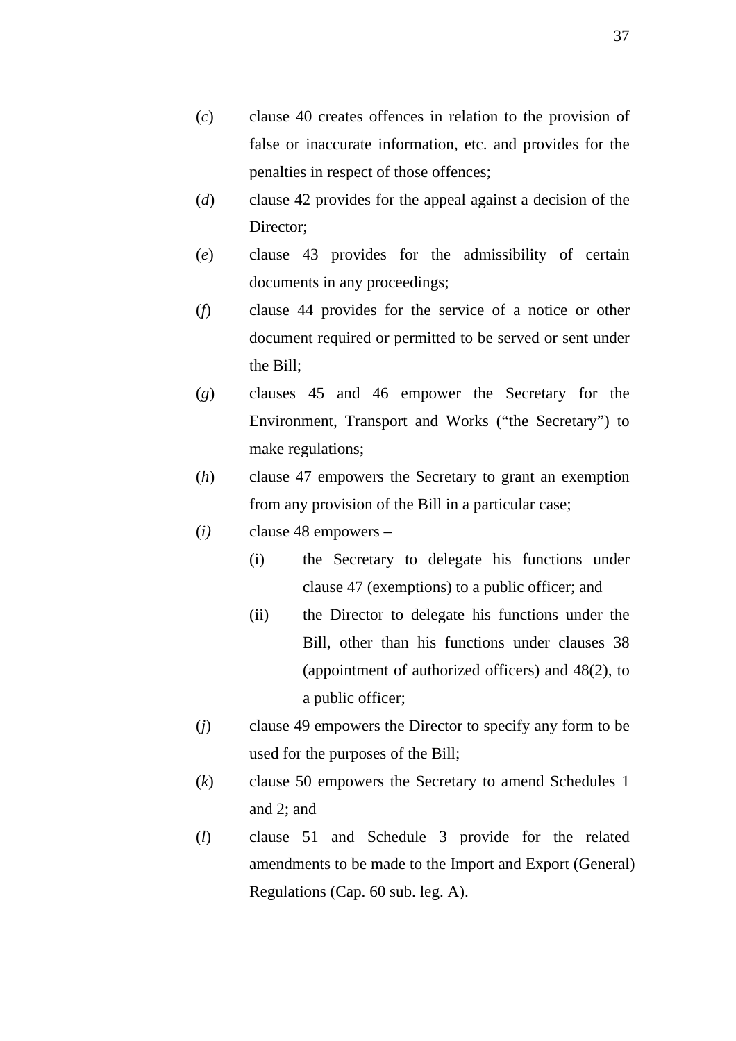- (*c*) clause 40 creates offences in relation to the provision of false or inaccurate information, etc. and provides for the penalties in respect of those offences;
- (*d*) clause 42 provides for the appeal against a decision of the Director;
- (*e*) clause 43 provides for the admissibility of certain documents in any proceedings;
- (*f*) clause 44 provides for the service of a notice or other document required or permitted to be served or sent under the Bill;
- (*g*) clauses 45 and 46 empower the Secretary for the Environment, Transport and Works ("the Secretary") to make regulations;
- (*h*) clause 47 empowers the Secretary to grant an exemption from any provision of the Bill in a particular case;
- (*i)* clause 48 empowers
	- (i) the Secretary to delegate his functions under clause 47 (exemptions) to a public officer; and
	- (ii) the Director to delegate his functions under the Bill, other than his functions under clauses 38 (appointment of authorized officers) and 48(2), to a public officer;
- (*j*) clause 49 empowers the Director to specify any form to be used for the purposes of the Bill;
- (*k*) clause 50 empowers the Secretary to amend Schedules 1 and 2; and
- (*l*) clause 51 and Schedule 3 provide for the related amendments to be made to the Import and Export (General) Regulations (Cap. 60 sub. leg. A).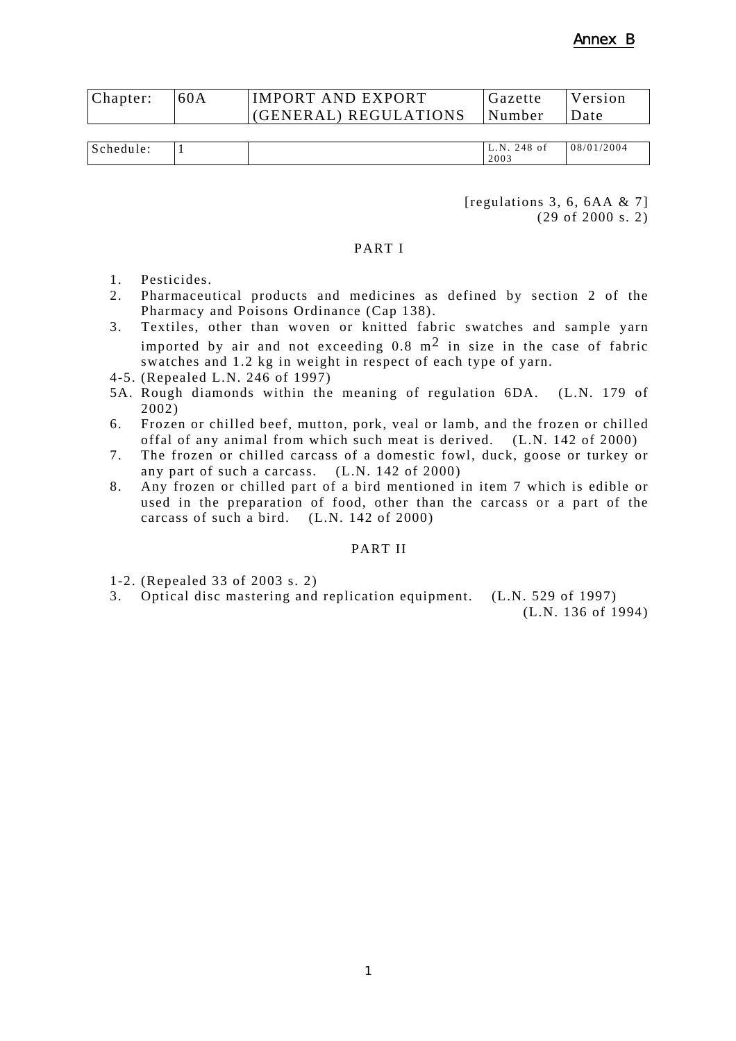| Chapter: | 60A | <b>IMPORT AND EXPORT</b>       | Gazette | <i>Nersion</i> |
|----------|-----|--------------------------------|---------|----------------|
|          |     | $(GENERAL) REGULATIONS$ Number |         | <b>IDate</b>   |

| . C<br>. le :<br>יט.<br>. | N<br>~<br><b>L.I</b><br>∼<br>2003 | $\sim$ $\sim$<br>$\sqrt{ }$<br>08<br>2004<br>$\sqrt{2}$<br>70 T<br>.4.<br>` ∪.<br>. O<br>$\sim$ $\sim$ |
|---------------------------|-----------------------------------|--------------------------------------------------------------------------------------------------------|
|---------------------------|-----------------------------------|--------------------------------------------------------------------------------------------------------|

[regulations 3, 6, 6AA & 7] (29 of 2000 s. 2)

#### PART I

- 1. Pesticides.
- 2. Pharmaceutical products and medicines as defined by section 2 of the Pharmacy and Poisons Ordinance (Cap 138).
- 3. Textiles, other than woven or knitted fabric swatches and sample yarn imported by air and not exceeding  $0.8 \text{ m}^2$  in size in the case of fabric swatches and 1.2 kg in weight in respect of each type of yarn.
- 4-5. (Repealed L.N. 246 of 1997)
- 5A. Rough diamonds within the meaning of regulation 6DA. (L.N. 179 of 2002)
- 6. Frozen or chilled beef, mutton, pork, veal or lamb, and the frozen or chilled offal of any animal from which such meat is derived. (L.N. 142 of 2000)
- 7. The frozen or chilled carcass of a domestic fowl, duck, goose or turkey or any part of such a carcass. (L.N. 142 of 2000)
- 8. Any frozen or chilled part of a bird mentioned in item 7 which is edible or used in the preparation of food, other than the carcass or a part of the carcass of such a bird. (L.N. 142 of 2000)

#### PART II

1-2. (Repealed 33 of 2003 s. 2)

3. Optical disc mastering and replication equipment. (L.N. 529 of 1997)

(L.N. 136 of 1994)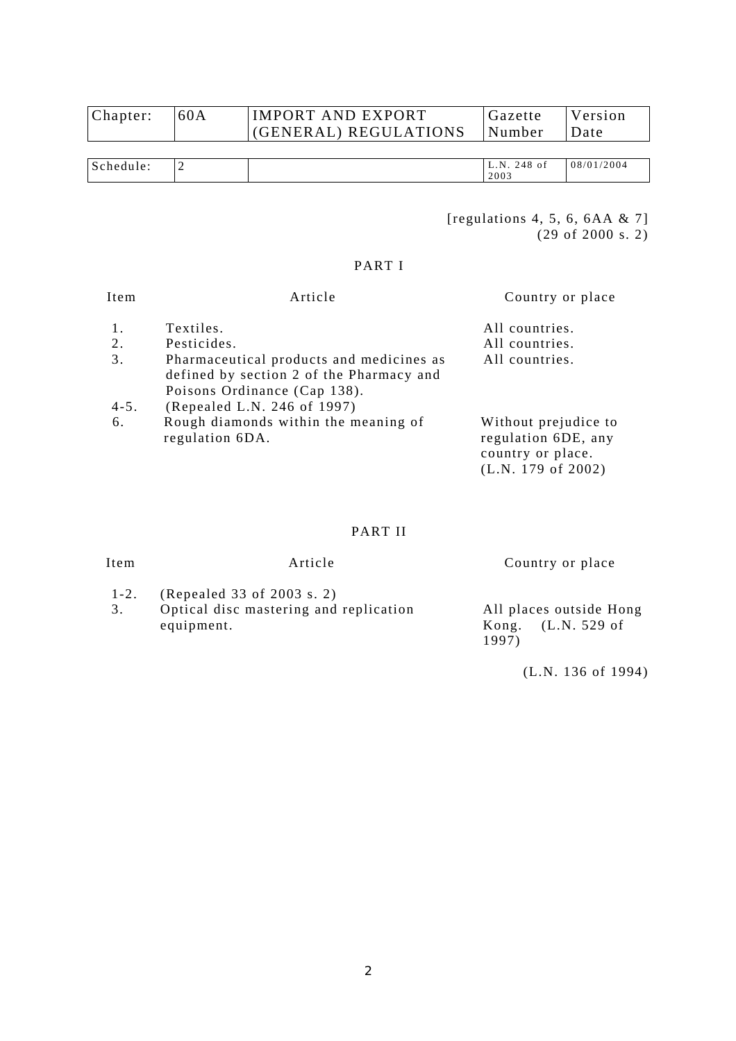| Chapter: | 60A | IMPORT AND EXPORT<br>(GENERAL) REGULATIONS | Gazette<br> Number | Version<br>Date |
|----------|-----|--------------------------------------------|--------------------|-----------------|
|          |     |                                            |                    |                 |
|          |     |                                            |                    |                 |
|          |     |                                            |                    |                 |

| $\mathbf C$<br>ه ۱.<br>.<br>.<br>$-$ | . . | $\sim$ 4 $\Omega$<br>$\sim$ $\sim$<br>N<br>4 X<br>- O I<br>− ∪<br><u>_</u><br>2003 | '2004<br>08<br>$\sqrt{2}$ |
|--------------------------------------|-----|------------------------------------------------------------------------------------|---------------------------|
|                                      |     |                                                                                    |                           |

[regulations 4, 5, 6, 6AA & 7] (29 of 2000 s. 2)

# PART I

| Item            | Article                                                                                                                                             | Country or place                                                                       |
|-----------------|-----------------------------------------------------------------------------------------------------------------------------------------------------|----------------------------------------------------------------------------------------|
| 1.              | Textiles.                                                                                                                                           | All countries.                                                                         |
| 2.              | Pesticides.                                                                                                                                         | All countries.                                                                         |
| 3.<br>$4 - 5$ . | Pharmaceutical products and medicines as<br>defined by section 2 of the Pharmacy and<br>Poisons Ordinance (Cap 138).<br>(Repealed L.N. 246 of 1997) | All countries.                                                                         |
| 6.              | Rough diamonds within the meaning of<br>regulation 6DA.                                                                                             | Without prejudice to<br>regulation 6DE, any<br>country or place.<br>(L.N. 179 of 2002) |

# PART II

| Item            | Article                                                                            | Country or place                                         |
|-----------------|------------------------------------------------------------------------------------|----------------------------------------------------------|
| $1 - 2$ .<br>3. | (Repealed 33 of 2003 s. 2)<br>Optical disc mastering and replication<br>equipment. | All places outside Hong<br>Kong. $(L.N. 529$ of<br>1997) |

(L.N. 136 of 1994)